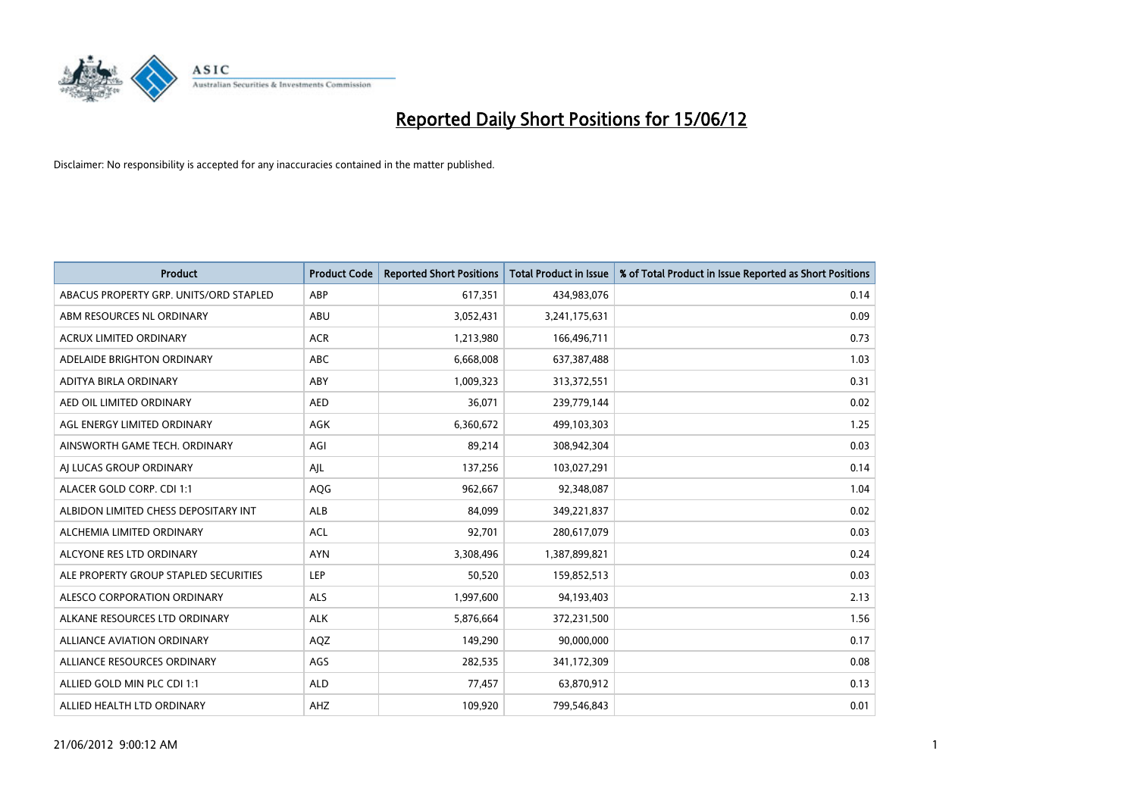

| <b>Product</b>                         | <b>Product Code</b> | <b>Reported Short Positions</b> | <b>Total Product in Issue</b> | % of Total Product in Issue Reported as Short Positions |
|----------------------------------------|---------------------|---------------------------------|-------------------------------|---------------------------------------------------------|
| ABACUS PROPERTY GRP. UNITS/ORD STAPLED | ABP                 | 617,351                         | 434,983,076                   | 0.14                                                    |
| ABM RESOURCES NL ORDINARY              | ABU                 | 3,052,431                       | 3,241,175,631                 | 0.09                                                    |
| <b>ACRUX LIMITED ORDINARY</b>          | <b>ACR</b>          | 1,213,980                       | 166,496,711                   | 0.73                                                    |
| ADELAIDE BRIGHTON ORDINARY             | <b>ABC</b>          | 6,668,008                       | 637,387,488                   | 1.03                                                    |
| ADITYA BIRLA ORDINARY                  | ABY                 | 1,009,323                       | 313,372,551                   | 0.31                                                    |
| AED OIL LIMITED ORDINARY               | <b>AED</b>          | 36,071                          | 239,779,144                   | 0.02                                                    |
| AGL ENERGY LIMITED ORDINARY            | AGK                 | 6,360,672                       | 499,103,303                   | 1.25                                                    |
| AINSWORTH GAME TECH. ORDINARY          | AGI                 | 89,214                          | 308,942,304                   | 0.03                                                    |
| AI LUCAS GROUP ORDINARY                | AJL                 | 137,256                         | 103,027,291                   | 0.14                                                    |
| ALACER GOLD CORP. CDI 1:1              | AQG                 | 962,667                         | 92,348,087                    | 1.04                                                    |
| ALBIDON LIMITED CHESS DEPOSITARY INT   | ALB                 | 84,099                          | 349,221,837                   | 0.02                                                    |
| ALCHEMIA LIMITED ORDINARY              | <b>ACL</b>          | 92,701                          | 280,617,079                   | 0.03                                                    |
| ALCYONE RES LTD ORDINARY               | <b>AYN</b>          | 3,308,496                       | 1,387,899,821                 | 0.24                                                    |
| ALE PROPERTY GROUP STAPLED SECURITIES  | <b>LEP</b>          | 50,520                          | 159,852,513                   | 0.03                                                    |
| ALESCO CORPORATION ORDINARY            | <b>ALS</b>          | 1,997,600                       | 94,193,403                    | 2.13                                                    |
| ALKANE RESOURCES LTD ORDINARY          | <b>ALK</b>          | 5,876,664                       | 372,231,500                   | 1.56                                                    |
| ALLIANCE AVIATION ORDINARY             | AQZ                 | 149,290                         | 90,000,000                    | 0.17                                                    |
| ALLIANCE RESOURCES ORDINARY            | AGS                 | 282,535                         | 341,172,309                   | 0.08                                                    |
| ALLIED GOLD MIN PLC CDI 1:1            | <b>ALD</b>          | 77,457                          | 63,870,912                    | 0.13                                                    |
| ALLIED HEALTH LTD ORDINARY             | AHZ                 | 109,920                         | 799,546,843                   | 0.01                                                    |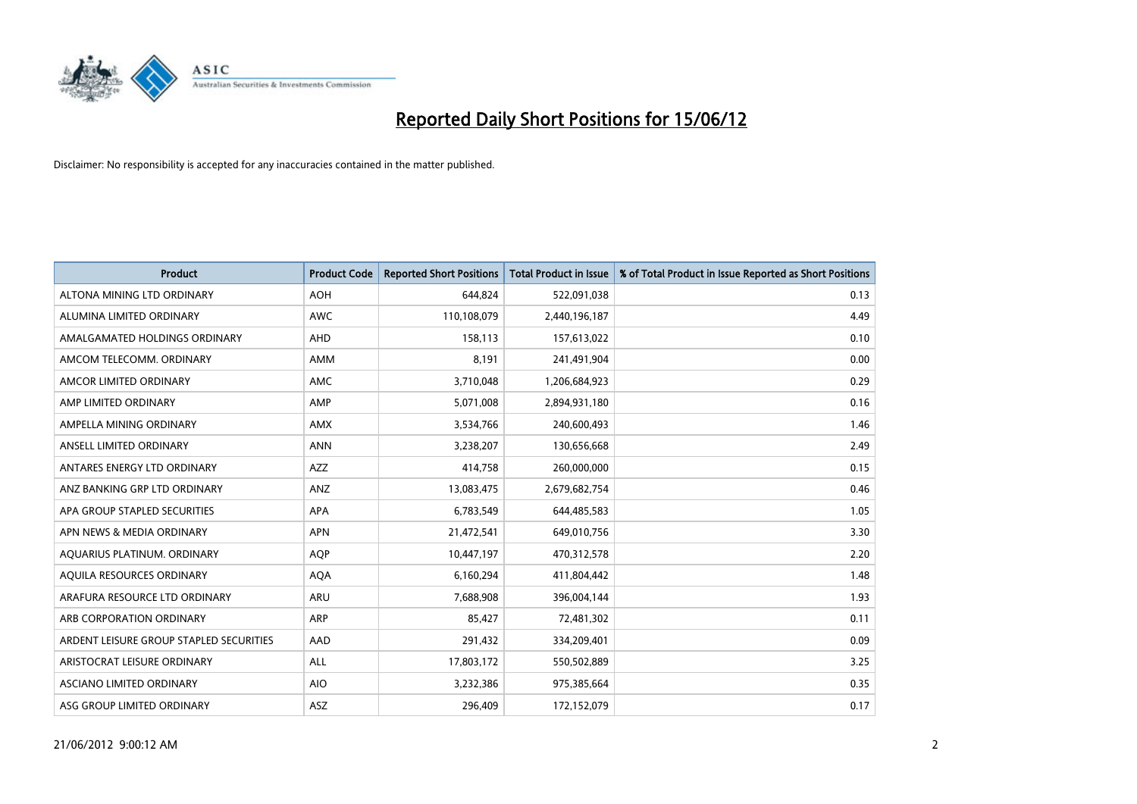

| <b>Product</b>                          | <b>Product Code</b> | <b>Reported Short Positions</b> | <b>Total Product in Issue</b> | % of Total Product in Issue Reported as Short Positions |
|-----------------------------------------|---------------------|---------------------------------|-------------------------------|---------------------------------------------------------|
| ALTONA MINING LTD ORDINARY              | <b>AOH</b>          | 644,824                         | 522,091,038                   | 0.13                                                    |
| ALUMINA LIMITED ORDINARY                | <b>AWC</b>          | 110,108,079                     | 2,440,196,187                 | 4.49                                                    |
| AMALGAMATED HOLDINGS ORDINARY           | <b>AHD</b>          | 158,113                         | 157,613,022                   | 0.10                                                    |
| AMCOM TELECOMM. ORDINARY                | AMM                 | 8,191                           | 241,491,904                   | 0.00                                                    |
| AMCOR LIMITED ORDINARY                  | <b>AMC</b>          | 3,710,048                       | 1,206,684,923                 | 0.29                                                    |
| AMP LIMITED ORDINARY                    | AMP                 | 5,071,008                       | 2,894,931,180                 | 0.16                                                    |
| AMPELLA MINING ORDINARY                 | <b>AMX</b>          | 3,534,766                       | 240,600,493                   | 1.46                                                    |
| ANSELL LIMITED ORDINARY                 | <b>ANN</b>          | 3,238,207                       | 130,656,668                   | 2.49                                                    |
| ANTARES ENERGY LTD ORDINARY             | AZZ                 | 414,758                         | 260,000,000                   | 0.15                                                    |
| ANZ BANKING GRP LTD ORDINARY            | ANZ                 | 13,083,475                      | 2,679,682,754                 | 0.46                                                    |
| APA GROUP STAPLED SECURITIES            | APA                 | 6,783,549                       | 644,485,583                   | 1.05                                                    |
| APN NEWS & MEDIA ORDINARY               | <b>APN</b>          | 21,472,541                      | 649,010,756                   | 3.30                                                    |
| AQUARIUS PLATINUM. ORDINARY             | <b>AQP</b>          | 10,447,197                      | 470,312,578                   | 2.20                                                    |
| AQUILA RESOURCES ORDINARY               | <b>AQA</b>          | 6,160,294                       | 411,804,442                   | 1.48                                                    |
| ARAFURA RESOURCE LTD ORDINARY           | ARU                 | 7,688,908                       | 396,004,144                   | 1.93                                                    |
| ARB CORPORATION ORDINARY                | ARP                 | 85,427                          | 72,481,302                    | 0.11                                                    |
| ARDENT LEISURE GROUP STAPLED SECURITIES | AAD                 | 291,432                         | 334,209,401                   | 0.09                                                    |
| ARISTOCRAT LEISURE ORDINARY             | ALL                 | 17,803,172                      | 550,502,889                   | 3.25                                                    |
| ASCIANO LIMITED ORDINARY                | <b>AIO</b>          | 3,232,386                       | 975,385,664                   | 0.35                                                    |
| ASG GROUP LIMITED ORDINARY              | ASZ                 | 296,409                         | 172,152,079                   | 0.17                                                    |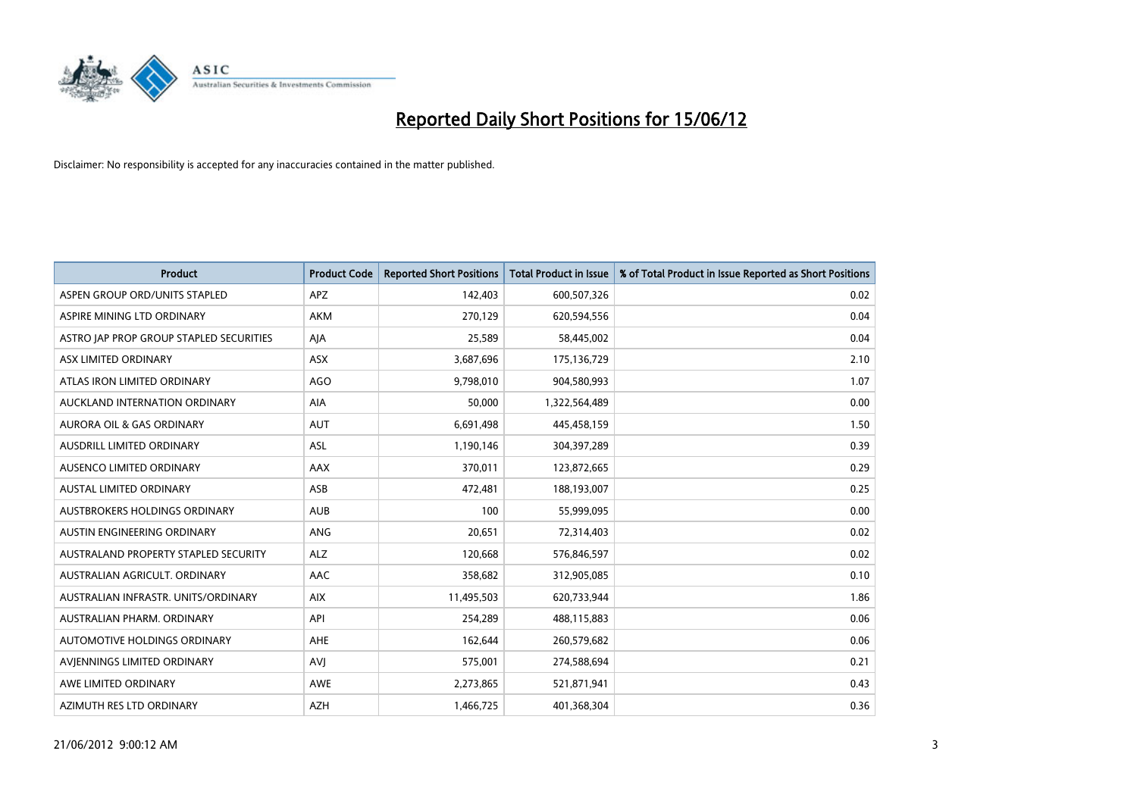

| <b>Product</b>                          | <b>Product Code</b> | <b>Reported Short Positions</b> | <b>Total Product in Issue</b> | % of Total Product in Issue Reported as Short Positions |
|-----------------------------------------|---------------------|---------------------------------|-------------------------------|---------------------------------------------------------|
| ASPEN GROUP ORD/UNITS STAPLED           | <b>APZ</b>          | 142,403                         | 600,507,326                   | 0.02                                                    |
| ASPIRE MINING LTD ORDINARY              | <b>AKM</b>          | 270,129                         | 620,594,556                   | 0.04                                                    |
| ASTRO JAP PROP GROUP STAPLED SECURITIES | AJA                 | 25,589                          | 58,445,002                    | 0.04                                                    |
| ASX LIMITED ORDINARY                    | ASX                 | 3,687,696                       | 175,136,729                   | 2.10                                                    |
| ATLAS IRON LIMITED ORDINARY             | <b>AGO</b>          | 9,798,010                       | 904,580,993                   | 1.07                                                    |
| AUCKLAND INTERNATION ORDINARY           | <b>AIA</b>          | 50,000                          | 1,322,564,489                 | 0.00                                                    |
| <b>AURORA OIL &amp; GAS ORDINARY</b>    | <b>AUT</b>          | 6,691,498                       | 445,458,159                   | 1.50                                                    |
| AUSDRILL LIMITED ORDINARY               | ASL                 | 1,190,146                       | 304,397,289                   | 0.39                                                    |
| AUSENCO LIMITED ORDINARY                | AAX                 | 370,011                         | 123,872,665                   | 0.29                                                    |
| <b>AUSTAL LIMITED ORDINARY</b>          | ASB                 | 472,481                         | 188,193,007                   | 0.25                                                    |
| AUSTBROKERS HOLDINGS ORDINARY           | <b>AUB</b>          | 100                             | 55,999,095                    | 0.00                                                    |
| AUSTIN ENGINEERING ORDINARY             | ANG                 | 20,651                          | 72,314,403                    | 0.02                                                    |
| AUSTRALAND PROPERTY STAPLED SECURITY    | <b>ALZ</b>          | 120,668                         | 576,846,597                   | 0.02                                                    |
| AUSTRALIAN AGRICULT, ORDINARY           | AAC                 | 358,682                         | 312,905,085                   | 0.10                                                    |
| AUSTRALIAN INFRASTR, UNITS/ORDINARY     | <b>AIX</b>          | 11,495,503                      | 620,733,944                   | 1.86                                                    |
| AUSTRALIAN PHARM. ORDINARY              | API                 | 254,289                         | 488,115,883                   | 0.06                                                    |
| AUTOMOTIVE HOLDINGS ORDINARY            | AHE                 | 162,644                         | 260,579,682                   | 0.06                                                    |
| AVIENNINGS LIMITED ORDINARY             | <b>AVJ</b>          | 575,001                         | 274,588,694                   | 0.21                                                    |
| AWE LIMITED ORDINARY                    | <b>AWE</b>          | 2,273,865                       | 521,871,941                   | 0.43                                                    |
| AZIMUTH RES LTD ORDINARY                | <b>AZH</b>          | 1,466,725                       | 401,368,304                   | 0.36                                                    |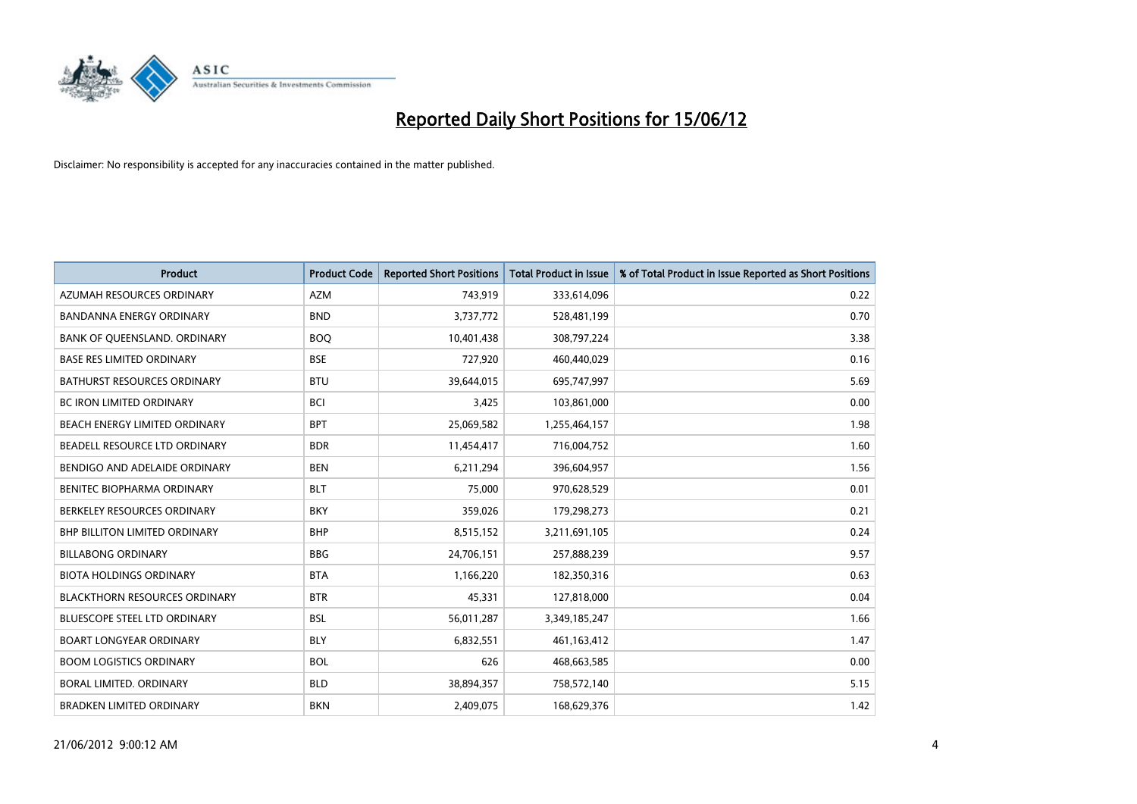

| <b>Product</b>                       | <b>Product Code</b> | <b>Reported Short Positions</b> | <b>Total Product in Issue</b> | % of Total Product in Issue Reported as Short Positions |
|--------------------------------------|---------------------|---------------------------------|-------------------------------|---------------------------------------------------------|
| AZUMAH RESOURCES ORDINARY            | <b>AZM</b>          | 743,919                         | 333,614,096                   | 0.22                                                    |
| BANDANNA ENERGY ORDINARY             | <b>BND</b>          | 3,737,772                       | 528,481,199                   | 0.70                                                    |
| BANK OF QUEENSLAND. ORDINARY         | <b>BOQ</b>          | 10,401,438                      | 308,797,224                   | 3.38                                                    |
| <b>BASE RES LIMITED ORDINARY</b>     | <b>BSE</b>          | 727,920                         | 460,440,029                   | 0.16                                                    |
| <b>BATHURST RESOURCES ORDINARY</b>   | <b>BTU</b>          | 39,644,015                      | 695,747,997                   | 5.69                                                    |
| <b>BC IRON LIMITED ORDINARY</b>      | <b>BCI</b>          | 3,425                           | 103,861,000                   | 0.00                                                    |
| BEACH ENERGY LIMITED ORDINARY        | <b>BPT</b>          | 25,069,582                      | 1,255,464,157                 | 1.98                                                    |
| BEADELL RESOURCE LTD ORDINARY        | <b>BDR</b>          | 11,454,417                      | 716,004,752                   | 1.60                                                    |
| BENDIGO AND ADELAIDE ORDINARY        | <b>BEN</b>          | 6,211,294                       | 396,604,957                   | 1.56                                                    |
| <b>BENITEC BIOPHARMA ORDINARY</b>    | <b>BLT</b>          | 75,000                          | 970,628,529                   | 0.01                                                    |
| BERKELEY RESOURCES ORDINARY          | <b>BKY</b>          | 359,026                         | 179,298,273                   | 0.21                                                    |
| <b>BHP BILLITON LIMITED ORDINARY</b> | <b>BHP</b>          | 8,515,152                       | 3,211,691,105                 | 0.24                                                    |
| <b>BILLABONG ORDINARY</b>            | <b>BBG</b>          | 24,706,151                      | 257,888,239                   | 9.57                                                    |
| <b>BIOTA HOLDINGS ORDINARY</b>       | <b>BTA</b>          | 1,166,220                       | 182,350,316                   | 0.63                                                    |
| <b>BLACKTHORN RESOURCES ORDINARY</b> | <b>BTR</b>          | 45,331                          | 127,818,000                   | 0.04                                                    |
| BLUESCOPE STEEL LTD ORDINARY         | BSL                 | 56,011,287                      | 3,349,185,247                 | 1.66                                                    |
| <b>BOART LONGYEAR ORDINARY</b>       | <b>BLY</b>          | 6,832,551                       | 461,163,412                   | 1.47                                                    |
| <b>BOOM LOGISTICS ORDINARY</b>       | <b>BOL</b>          | 626                             | 468,663,585                   | 0.00                                                    |
| <b>BORAL LIMITED, ORDINARY</b>       | <b>BLD</b>          | 38,894,357                      | 758,572,140                   | 5.15                                                    |
| <b>BRADKEN LIMITED ORDINARY</b>      | <b>BKN</b>          | 2,409,075                       | 168,629,376                   | 1.42                                                    |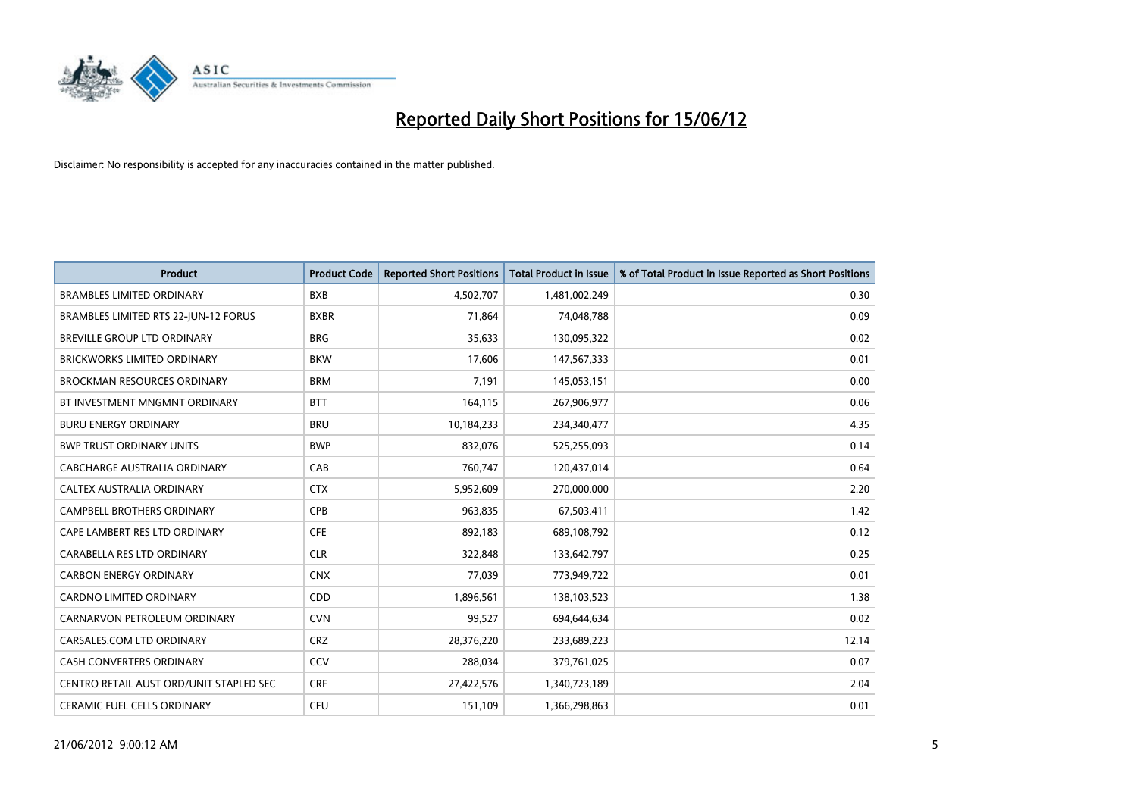

| <b>Product</b>                          | <b>Product Code</b> | <b>Reported Short Positions</b> | <b>Total Product in Issue</b> | % of Total Product in Issue Reported as Short Positions |
|-----------------------------------------|---------------------|---------------------------------|-------------------------------|---------------------------------------------------------|
| <b>BRAMBLES LIMITED ORDINARY</b>        | <b>BXB</b>          | 4,502,707                       | 1,481,002,249                 | 0.30                                                    |
| BRAMBLES LIMITED RTS 22-JUN-12 FORUS    | <b>BXBR</b>         | 71,864                          | 74,048,788                    | 0.09                                                    |
| BREVILLE GROUP LTD ORDINARY             | <b>BRG</b>          | 35,633                          | 130,095,322                   | 0.02                                                    |
| BRICKWORKS LIMITED ORDINARY             | <b>BKW</b>          | 17,606                          | 147,567,333                   | 0.01                                                    |
| <b>BROCKMAN RESOURCES ORDINARY</b>      | <b>BRM</b>          | 7,191                           | 145,053,151                   | 0.00                                                    |
| BT INVESTMENT MNGMNT ORDINARY           | <b>BTT</b>          | 164,115                         | 267,906,977                   | 0.06                                                    |
| <b>BURU ENERGY ORDINARY</b>             | <b>BRU</b>          | 10,184,233                      | 234,340,477                   | 4.35                                                    |
| <b>BWP TRUST ORDINARY UNITS</b>         | <b>BWP</b>          | 832,076                         | 525,255,093                   | 0.14                                                    |
| CABCHARGE AUSTRALIA ORDINARY            | CAB                 | 760,747                         | 120,437,014                   | 0.64                                                    |
| CALTEX AUSTRALIA ORDINARY               | <b>CTX</b>          | 5,952,609                       | 270,000,000                   | 2.20                                                    |
| CAMPBELL BROTHERS ORDINARY              | <b>CPB</b>          | 963,835                         | 67,503,411                    | 1.42                                                    |
| CAPE LAMBERT RES LTD ORDINARY           | <b>CFE</b>          | 892,183                         | 689,108,792                   | 0.12                                                    |
| CARABELLA RES LTD ORDINARY              | <b>CLR</b>          | 322,848                         | 133,642,797                   | 0.25                                                    |
| <b>CARBON ENERGY ORDINARY</b>           | <b>CNX</b>          | 77,039                          | 773,949,722                   | 0.01                                                    |
| <b>CARDNO LIMITED ORDINARY</b>          | CDD                 | 1,896,561                       | 138,103,523                   | 1.38                                                    |
| CARNARVON PETROLEUM ORDINARY            | <b>CVN</b>          | 99,527                          | 694,644,634                   | 0.02                                                    |
| CARSALES.COM LTD ORDINARY               | <b>CRZ</b>          | 28,376,220                      | 233,689,223                   | 12.14                                                   |
| CASH CONVERTERS ORDINARY                | CCV                 | 288,034                         | 379,761,025                   | 0.07                                                    |
| CENTRO RETAIL AUST ORD/UNIT STAPLED SEC | <b>CRF</b>          | 27,422,576                      | 1,340,723,189                 | 2.04                                                    |
| CERAMIC FUEL CELLS ORDINARY             | <b>CFU</b>          | 151,109                         | 1,366,298,863                 | 0.01                                                    |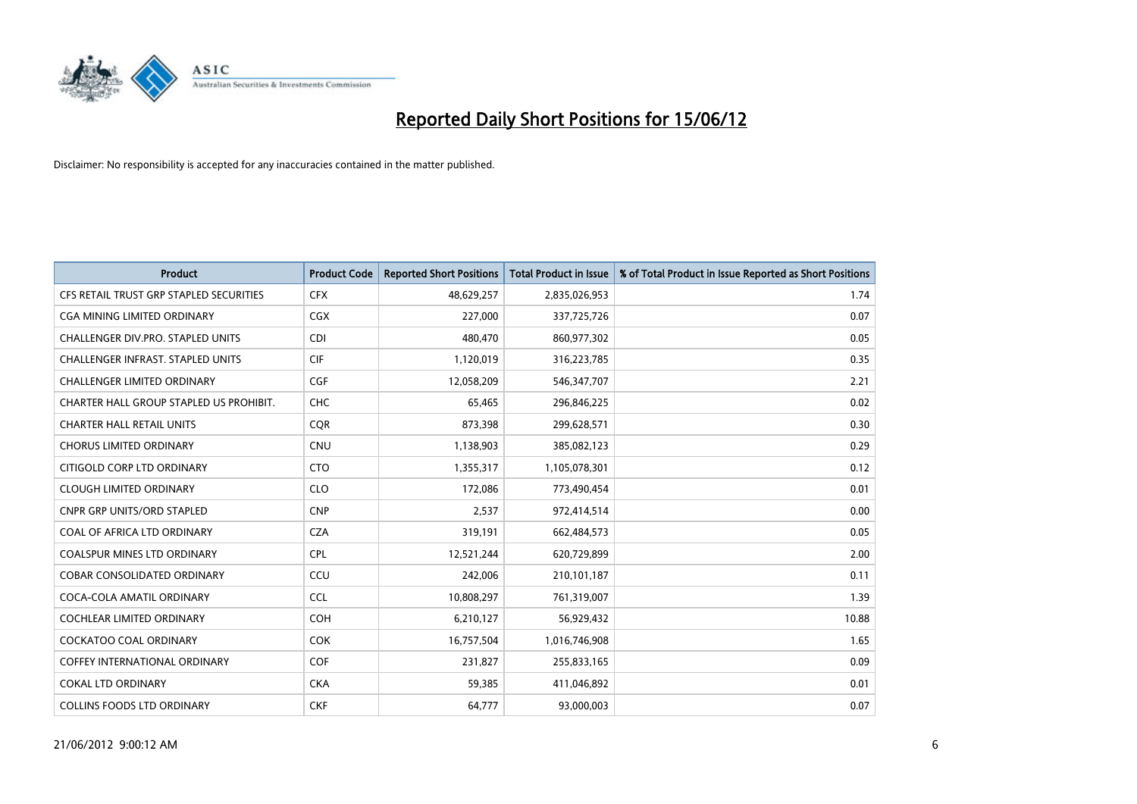

| <b>Product</b>                          | <b>Product Code</b> | <b>Reported Short Positions</b> | <b>Total Product in Issue</b> | % of Total Product in Issue Reported as Short Positions |
|-----------------------------------------|---------------------|---------------------------------|-------------------------------|---------------------------------------------------------|
| CFS RETAIL TRUST GRP STAPLED SECURITIES | <b>CFX</b>          | 48,629,257                      | 2,835,026,953                 | 1.74                                                    |
| CGA MINING LIMITED ORDINARY             | <b>CGX</b>          | 227,000                         | 337,725,726                   | 0.07                                                    |
| CHALLENGER DIV.PRO. STAPLED UNITS       | <b>CDI</b>          | 480,470                         | 860,977,302                   | 0.05                                                    |
| CHALLENGER INFRAST. STAPLED UNITS       | <b>CIF</b>          | 1,120,019                       | 316,223,785                   | 0.35                                                    |
| <b>CHALLENGER LIMITED ORDINARY</b>      | <b>CGF</b>          | 12,058,209                      | 546, 347, 707                 | 2.21                                                    |
| CHARTER HALL GROUP STAPLED US PROHIBIT. | CHC                 | 65,465                          | 296,846,225                   | 0.02                                                    |
| <b>CHARTER HALL RETAIL UNITS</b>        | <b>COR</b>          | 873,398                         | 299,628,571                   | 0.30                                                    |
| <b>CHORUS LIMITED ORDINARY</b>          | <b>CNU</b>          | 1,138,903                       | 385,082,123                   | 0.29                                                    |
| CITIGOLD CORP LTD ORDINARY              | <b>CTO</b>          | 1,355,317                       | 1,105,078,301                 | 0.12                                                    |
| <b>CLOUGH LIMITED ORDINARY</b>          | <b>CLO</b>          | 172,086                         | 773,490,454                   | 0.01                                                    |
| CNPR GRP UNITS/ORD STAPLED              | <b>CNP</b>          | 2,537                           | 972,414,514                   | 0.00                                                    |
| COAL OF AFRICA LTD ORDINARY             | <b>CZA</b>          | 319,191                         | 662,484,573                   | 0.05                                                    |
| COALSPUR MINES LTD ORDINARY             | <b>CPL</b>          | 12,521,244                      | 620,729,899                   | 2.00                                                    |
| <b>COBAR CONSOLIDATED ORDINARY</b>      | CCU                 | 242,006                         | 210,101,187                   | 0.11                                                    |
| COCA-COLA AMATIL ORDINARY               | <b>CCL</b>          | 10,808,297                      | 761,319,007                   | 1.39                                                    |
| COCHLEAR LIMITED ORDINARY               | <b>COH</b>          | 6,210,127                       | 56,929,432                    | 10.88                                                   |
| COCKATOO COAL ORDINARY                  | <b>COK</b>          | 16,757,504                      | 1,016,746,908                 | 1.65                                                    |
| <b>COFFEY INTERNATIONAL ORDINARY</b>    | <b>COF</b>          | 231,827                         | 255,833,165                   | 0.09                                                    |
| COKAL LTD ORDINARY                      | <b>CKA</b>          | 59,385                          | 411,046,892                   | 0.01                                                    |
| <b>COLLINS FOODS LTD ORDINARY</b>       | <b>CKF</b>          | 64,777                          | 93,000,003                    | 0.07                                                    |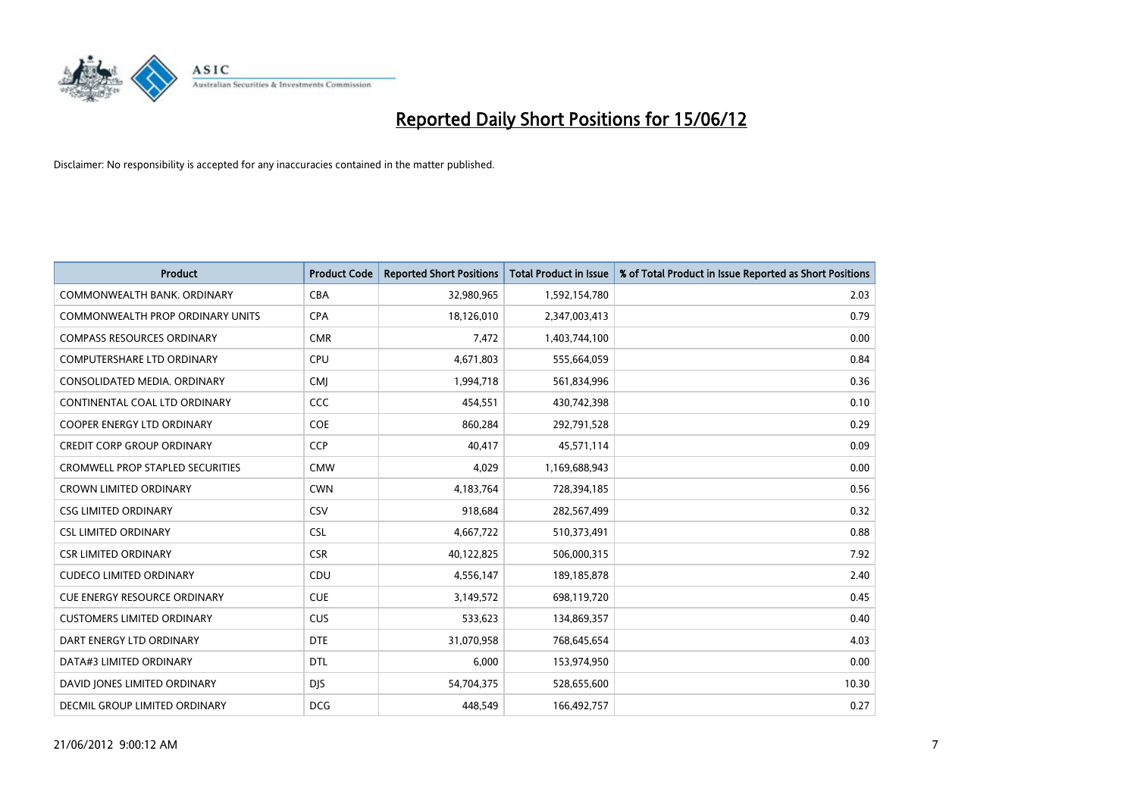

| <b>Product</b>                          | <b>Product Code</b> | <b>Reported Short Positions</b> | <b>Total Product in Issue</b> | % of Total Product in Issue Reported as Short Positions |
|-----------------------------------------|---------------------|---------------------------------|-------------------------------|---------------------------------------------------------|
| COMMONWEALTH BANK, ORDINARY             | <b>CBA</b>          | 32,980,965                      | 1,592,154,780                 | 2.03                                                    |
| COMMONWEALTH PROP ORDINARY UNITS        | <b>CPA</b>          | 18,126,010                      | 2,347,003,413                 | 0.79                                                    |
| <b>COMPASS RESOURCES ORDINARY</b>       | <b>CMR</b>          | 7,472                           | 1,403,744,100                 | 0.00                                                    |
| COMPUTERSHARE LTD ORDINARY              | <b>CPU</b>          | 4,671,803                       | 555,664,059                   | 0.84                                                    |
| CONSOLIDATED MEDIA, ORDINARY            | <b>CMI</b>          | 1,994,718                       | 561,834,996                   | 0.36                                                    |
| CONTINENTAL COAL LTD ORDINARY           | CCC                 | 454,551                         | 430,742,398                   | 0.10                                                    |
| <b>COOPER ENERGY LTD ORDINARY</b>       | <b>COE</b>          | 860,284                         | 292,791,528                   | 0.29                                                    |
| <b>CREDIT CORP GROUP ORDINARY</b>       | CCP                 | 40,417                          | 45,571,114                    | 0.09                                                    |
| <b>CROMWELL PROP STAPLED SECURITIES</b> | <b>CMW</b>          | 4,029                           | 1,169,688,943                 | 0.00                                                    |
| <b>CROWN LIMITED ORDINARY</b>           | <b>CWN</b>          | 4,183,764                       | 728,394,185                   | 0.56                                                    |
| <b>CSG LIMITED ORDINARY</b>             | CSV                 | 918,684                         | 282,567,499                   | 0.32                                                    |
| <b>CSL LIMITED ORDINARY</b>             | CSL                 | 4,667,722                       | 510,373,491                   | 0.88                                                    |
| <b>CSR LIMITED ORDINARY</b>             | <b>CSR</b>          | 40,122,825                      | 506,000,315                   | 7.92                                                    |
| <b>CUDECO LIMITED ORDINARY</b>          | CDU                 | 4,556,147                       | 189, 185, 878                 | 2.40                                                    |
| <b>CUE ENERGY RESOURCE ORDINARY</b>     | <b>CUE</b>          | 3,149,572                       | 698,119,720                   | 0.45                                                    |
| <b>CUSTOMERS LIMITED ORDINARY</b>       | <b>CUS</b>          | 533,623                         | 134,869,357                   | 0.40                                                    |
| DART ENERGY LTD ORDINARY                | <b>DTE</b>          | 31,070,958                      | 768,645,654                   | 4.03                                                    |
| DATA#3 LIMITED ORDINARY                 | <b>DTL</b>          | 6,000                           | 153,974,950                   | 0.00                                                    |
| DAVID JONES LIMITED ORDINARY            | <b>DJS</b>          | 54,704,375                      | 528,655,600                   | 10.30                                                   |
| <b>DECMIL GROUP LIMITED ORDINARY</b>    | <b>DCG</b>          | 448,549                         | 166,492,757                   | 0.27                                                    |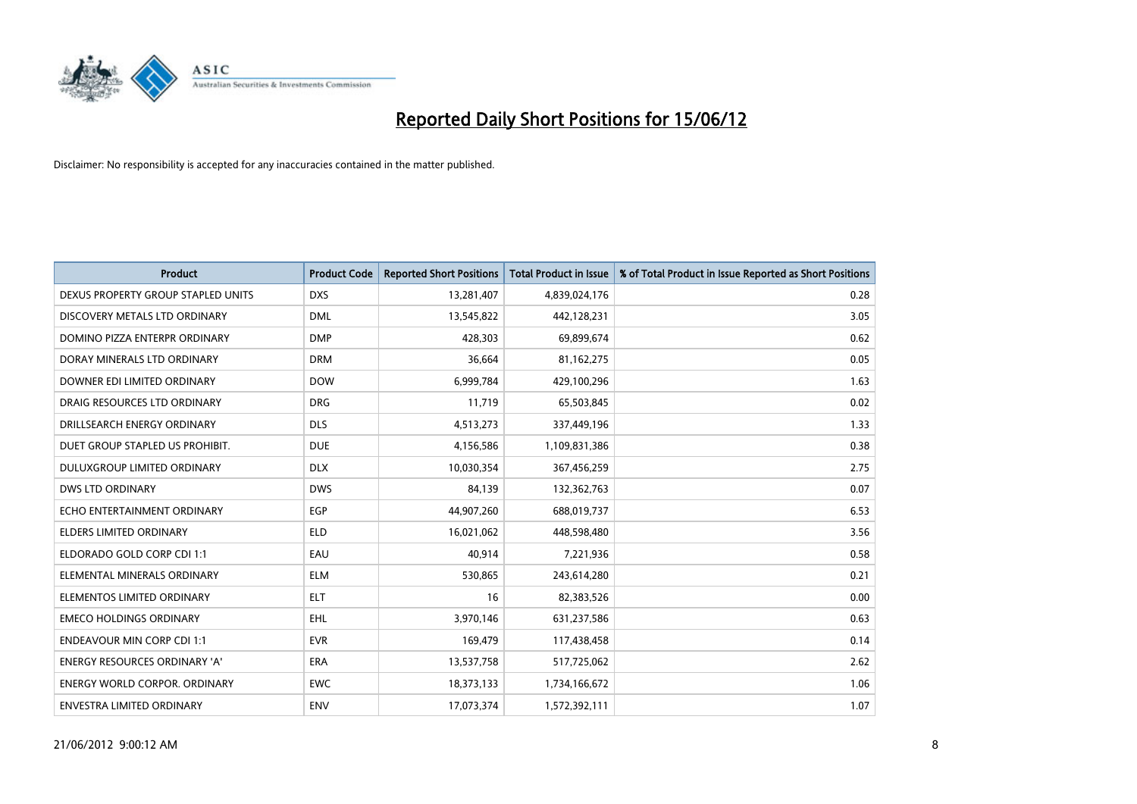

| <b>Product</b>                       | <b>Product Code</b> | <b>Reported Short Positions</b> | <b>Total Product in Issue</b> | % of Total Product in Issue Reported as Short Positions |
|--------------------------------------|---------------------|---------------------------------|-------------------------------|---------------------------------------------------------|
| DEXUS PROPERTY GROUP STAPLED UNITS   | <b>DXS</b>          | 13,281,407                      | 4,839,024,176                 | 0.28                                                    |
| DISCOVERY METALS LTD ORDINARY        | <b>DML</b>          | 13,545,822                      | 442,128,231                   | 3.05                                                    |
| DOMINO PIZZA ENTERPR ORDINARY        | <b>DMP</b>          | 428,303                         | 69,899,674                    | 0.62                                                    |
| DORAY MINERALS LTD ORDINARY          | <b>DRM</b>          | 36,664                          | 81,162,275                    | 0.05                                                    |
| DOWNER EDI LIMITED ORDINARY          | <b>DOW</b>          | 6,999,784                       | 429,100,296                   | 1.63                                                    |
| DRAIG RESOURCES LTD ORDINARY         | <b>DRG</b>          | 11,719                          | 65,503,845                    | 0.02                                                    |
| DRILLSEARCH ENERGY ORDINARY          | <b>DLS</b>          | 4,513,273                       | 337,449,196                   | 1.33                                                    |
| DUET GROUP STAPLED US PROHIBIT.      | <b>DUE</b>          | 4,156,586                       | 1,109,831,386                 | 0.38                                                    |
| DULUXGROUP LIMITED ORDINARY          | <b>DLX</b>          | 10,030,354                      | 367,456,259                   | 2.75                                                    |
| <b>DWS LTD ORDINARY</b>              | <b>DWS</b>          | 84.139                          | 132,362,763                   | 0.07                                                    |
| ECHO ENTERTAINMENT ORDINARY          | <b>EGP</b>          | 44,907,260                      | 688,019,737                   | 6.53                                                    |
| <b>ELDERS LIMITED ORDINARY</b>       | <b>ELD</b>          | 16,021,062                      | 448,598,480                   | 3.56                                                    |
| ELDORADO GOLD CORP CDI 1:1           | EAU                 | 40.914                          | 7,221,936                     | 0.58                                                    |
| ELEMENTAL MINERALS ORDINARY          | <b>ELM</b>          | 530,865                         | 243,614,280                   | 0.21                                                    |
| ELEMENTOS LIMITED ORDINARY           | <b>ELT</b>          | 16                              | 82,383,526                    | 0.00                                                    |
| <b>EMECO HOLDINGS ORDINARY</b>       | <b>EHL</b>          | 3,970,146                       | 631,237,586                   | 0.63                                                    |
| <b>ENDEAVOUR MIN CORP CDI 1:1</b>    | <b>EVR</b>          | 169,479                         | 117,438,458                   | 0.14                                                    |
| ENERGY RESOURCES ORDINARY 'A'        | ERA                 | 13,537,758                      | 517,725,062                   | 2.62                                                    |
| <b>ENERGY WORLD CORPOR, ORDINARY</b> | <b>EWC</b>          | 18,373,133                      | 1,734,166,672                 | 1.06                                                    |
| <b>ENVESTRA LIMITED ORDINARY</b>     | <b>ENV</b>          | 17,073,374                      | 1,572,392,111                 | 1.07                                                    |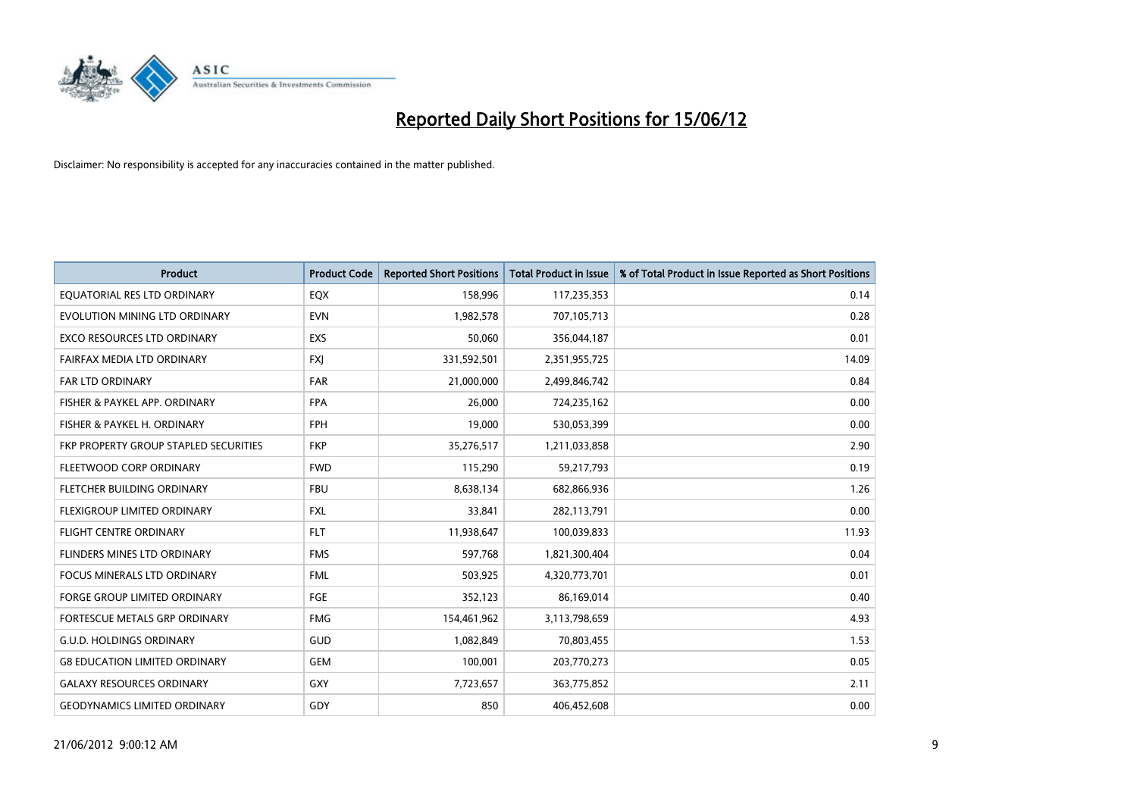

| <b>Product</b>                        | <b>Product Code</b> | <b>Reported Short Positions</b> | <b>Total Product in Issue</b> | % of Total Product in Issue Reported as Short Positions |
|---------------------------------------|---------------------|---------------------------------|-------------------------------|---------------------------------------------------------|
| EQUATORIAL RES LTD ORDINARY           | EQX                 | 158,996                         | 117,235,353                   | 0.14                                                    |
| EVOLUTION MINING LTD ORDINARY         | <b>EVN</b>          | 1,982,578                       | 707,105,713                   | 0.28                                                    |
| EXCO RESOURCES LTD ORDINARY           | <b>EXS</b>          | 50,060                          | 356,044,187                   | 0.01                                                    |
| FAIRFAX MEDIA LTD ORDINARY            | <b>FXI</b>          | 331,592,501                     | 2,351,955,725                 | 14.09                                                   |
| <b>FAR LTD ORDINARY</b>               | <b>FAR</b>          | 21,000,000                      | 2,499,846,742                 | 0.84                                                    |
| FISHER & PAYKEL APP. ORDINARY         | <b>FPA</b>          | 26,000                          | 724,235,162                   | 0.00                                                    |
| FISHER & PAYKEL H. ORDINARY           | <b>FPH</b>          | 19,000                          | 530,053,399                   | 0.00                                                    |
| FKP PROPERTY GROUP STAPLED SECURITIES | <b>FKP</b>          | 35,276,517                      | 1,211,033,858                 | 2.90                                                    |
| FLEETWOOD CORP ORDINARY               | <b>FWD</b>          | 115,290                         | 59,217,793                    | 0.19                                                    |
| FLETCHER BUILDING ORDINARY            | <b>FBU</b>          | 8,638,134                       | 682,866,936                   | 1.26                                                    |
| FLEXIGROUP LIMITED ORDINARY           | <b>FXL</b>          | 33,841                          | 282,113,791                   | 0.00                                                    |
| <b>FLIGHT CENTRE ORDINARY</b>         | <b>FLT</b>          | 11,938,647                      | 100,039,833                   | 11.93                                                   |
| FLINDERS MINES LTD ORDINARY           | <b>FMS</b>          | 597,768                         | 1,821,300,404                 | 0.04                                                    |
| <b>FOCUS MINERALS LTD ORDINARY</b>    | <b>FML</b>          | 503,925                         | 4,320,773,701                 | 0.01                                                    |
| <b>FORGE GROUP LIMITED ORDINARY</b>   | <b>FGE</b>          | 352,123                         | 86,169,014                    | 0.40                                                    |
| <b>FORTESCUE METALS GRP ORDINARY</b>  | <b>FMG</b>          | 154,461,962                     | 3,113,798,659                 | 4.93                                                    |
| <b>G.U.D. HOLDINGS ORDINARY</b>       | GUD                 | 1,082,849                       | 70,803,455                    | 1.53                                                    |
| <b>G8 EDUCATION LIMITED ORDINARY</b>  | <b>GEM</b>          | 100,001                         | 203,770,273                   | 0.05                                                    |
| <b>GALAXY RESOURCES ORDINARY</b>      | <b>GXY</b>          | 7,723,657                       | 363,775,852                   | 2.11                                                    |
| <b>GEODYNAMICS LIMITED ORDINARY</b>   | GDY                 | 850                             | 406,452,608                   | 0.00                                                    |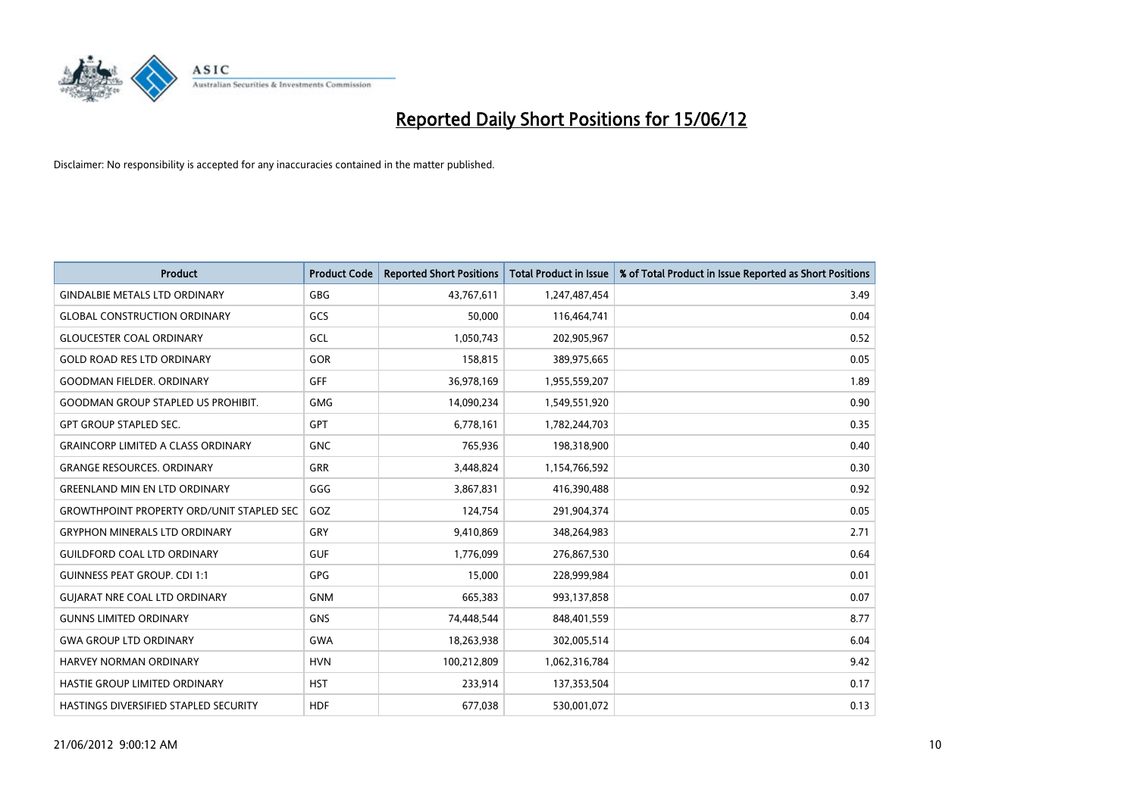

| <b>Product</b>                                   | <b>Product Code</b> | <b>Reported Short Positions</b> | <b>Total Product in Issue</b> | % of Total Product in Issue Reported as Short Positions |
|--------------------------------------------------|---------------------|---------------------------------|-------------------------------|---------------------------------------------------------|
| <b>GINDALBIE METALS LTD ORDINARY</b>             | GBG                 | 43,767,611                      | 1,247,487,454                 | 3.49                                                    |
| <b>GLOBAL CONSTRUCTION ORDINARY</b>              | GCS                 | 50,000                          | 116,464,741                   | 0.04                                                    |
| <b>GLOUCESTER COAL ORDINARY</b>                  | GCL                 | 1,050,743                       | 202,905,967                   | 0.52                                                    |
| <b>GOLD ROAD RES LTD ORDINARY</b>                | <b>GOR</b>          | 158,815                         | 389,975,665                   | 0.05                                                    |
| <b>GOODMAN FIELDER, ORDINARY</b>                 | GFF                 | 36,978,169                      | 1,955,559,207                 | 1.89                                                    |
| <b>GOODMAN GROUP STAPLED US PROHIBIT.</b>        | <b>GMG</b>          | 14,090,234                      | 1,549,551,920                 | 0.90                                                    |
| <b>GPT GROUP STAPLED SEC.</b>                    | <b>GPT</b>          | 6,778,161                       | 1,782,244,703                 | 0.35                                                    |
| <b>GRAINCORP LIMITED A CLASS ORDINARY</b>        | <b>GNC</b>          | 765,936                         | 198,318,900                   | 0.40                                                    |
| <b>GRANGE RESOURCES, ORDINARY</b>                | GRR                 | 3,448,824                       | 1,154,766,592                 | 0.30                                                    |
| <b>GREENLAND MIN EN LTD ORDINARY</b>             | GGG                 | 3,867,831                       | 416,390,488                   | 0.92                                                    |
| <b>GROWTHPOINT PROPERTY ORD/UNIT STAPLED SEC</b> | GOZ                 | 124,754                         | 291,904,374                   | 0.05                                                    |
| <b>GRYPHON MINERALS LTD ORDINARY</b>             | GRY                 | 9,410,869                       | 348,264,983                   | 2.71                                                    |
| <b>GUILDFORD COAL LTD ORDINARY</b>               | <b>GUF</b>          | 1,776,099                       | 276,867,530                   | 0.64                                                    |
| <b>GUINNESS PEAT GROUP. CDI 1:1</b>              | <b>GPG</b>          | 15,000                          | 228,999,984                   | 0.01                                                    |
| <b>GUIARAT NRE COAL LTD ORDINARY</b>             | <b>GNM</b>          | 665,383                         | 993,137,858                   | 0.07                                                    |
| <b>GUNNS LIMITED ORDINARY</b>                    | <b>GNS</b>          | 74,448,544                      | 848,401,559                   | 8.77                                                    |
| <b>GWA GROUP LTD ORDINARY</b>                    | <b>GWA</b>          | 18,263,938                      | 302,005,514                   | 6.04                                                    |
| HARVEY NORMAN ORDINARY                           | <b>HVN</b>          | 100,212,809                     | 1,062,316,784                 | 9.42                                                    |
| HASTIE GROUP LIMITED ORDINARY                    | <b>HST</b>          | 233,914                         | 137,353,504                   | 0.17                                                    |
| HASTINGS DIVERSIFIED STAPLED SECURITY            | <b>HDF</b>          | 677,038                         | 530,001,072                   | 0.13                                                    |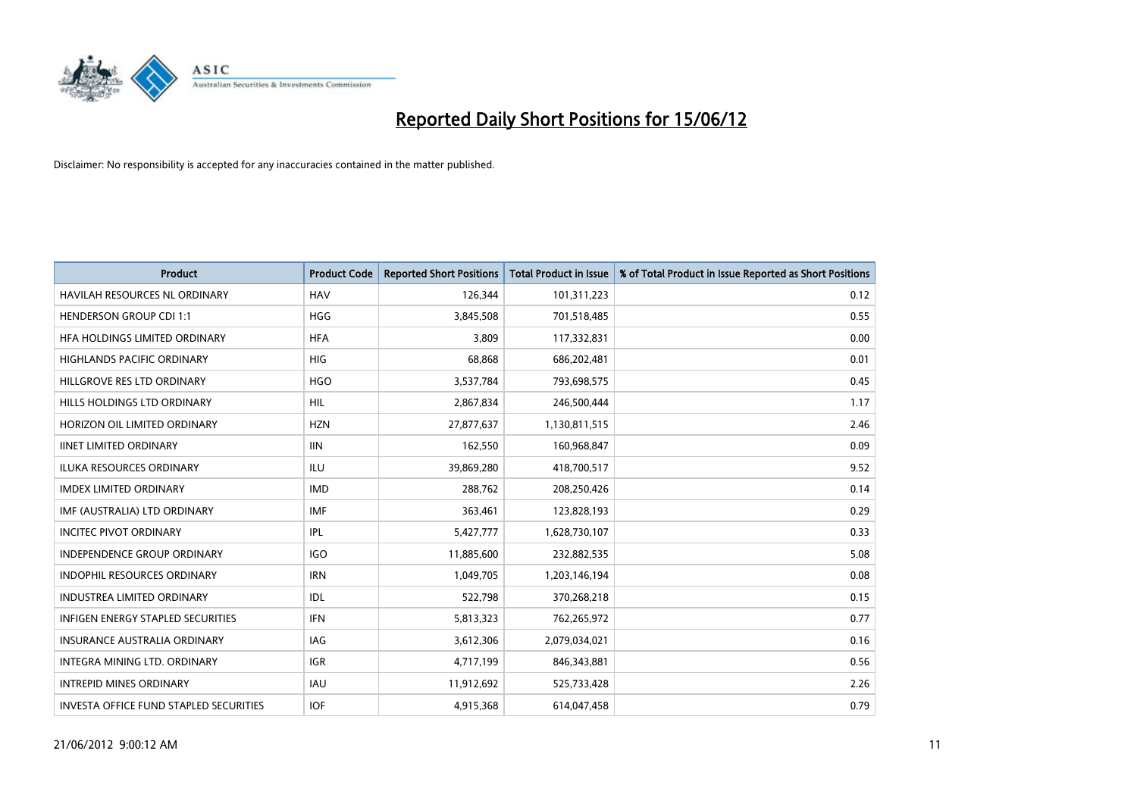

| <b>Product</b>                                | <b>Product Code</b> | <b>Reported Short Positions</b> | <b>Total Product in Issue</b> | % of Total Product in Issue Reported as Short Positions |
|-----------------------------------------------|---------------------|---------------------------------|-------------------------------|---------------------------------------------------------|
| <b>HAVILAH RESOURCES NL ORDINARY</b>          | <b>HAV</b>          | 126,344                         | 101,311,223                   | 0.12                                                    |
| <b>HENDERSON GROUP CDI 1:1</b>                | <b>HGG</b>          | 3,845,508                       | 701,518,485                   | 0.55                                                    |
| HFA HOLDINGS LIMITED ORDINARY                 | <b>HFA</b>          | 3,809                           | 117,332,831                   | 0.00                                                    |
| HIGHLANDS PACIFIC ORDINARY                    | <b>HIG</b>          | 68,868                          | 686,202,481                   | 0.01                                                    |
| HILLGROVE RES LTD ORDINARY                    | <b>HGO</b>          | 3,537,784                       | 793,698,575                   | 0.45                                                    |
| HILLS HOLDINGS LTD ORDINARY                   | <b>HIL</b>          | 2,867,834                       | 246,500,444                   | 1.17                                                    |
| HORIZON OIL LIMITED ORDINARY                  | <b>HZN</b>          | 27,877,637                      | 1,130,811,515                 | 2.46                                                    |
| <b>IINET LIMITED ORDINARY</b>                 | <b>IIN</b>          | 162,550                         | 160,968,847                   | 0.09                                                    |
| ILUKA RESOURCES ORDINARY                      | <b>ILU</b>          | 39,869,280                      | 418,700,517                   | 9.52                                                    |
| <b>IMDEX LIMITED ORDINARY</b>                 | <b>IMD</b>          | 288,762                         | 208,250,426                   | 0.14                                                    |
| IMF (AUSTRALIA) LTD ORDINARY                  | <b>IMF</b>          | 363,461                         | 123,828,193                   | 0.29                                                    |
| <b>INCITEC PIVOT ORDINARY</b>                 | IPL                 | 5,427,777                       | 1,628,730,107                 | 0.33                                                    |
| <b>INDEPENDENCE GROUP ORDINARY</b>            | <b>IGO</b>          | 11,885,600                      | 232,882,535                   | 5.08                                                    |
| <b>INDOPHIL RESOURCES ORDINARY</b>            | <b>IRN</b>          | 1,049,705                       | 1,203,146,194                 | 0.08                                                    |
| <b>INDUSTREA LIMITED ORDINARY</b>             | IDL                 | 522,798                         | 370,268,218                   | 0.15                                                    |
| <b>INFIGEN ENERGY STAPLED SECURITIES</b>      | <b>IFN</b>          | 5,813,323                       | 762,265,972                   | 0.77                                                    |
| <b>INSURANCE AUSTRALIA ORDINARY</b>           | IAG                 | 3,612,306                       | 2,079,034,021                 | 0.16                                                    |
| INTEGRA MINING LTD. ORDINARY                  | <b>IGR</b>          | 4,717,199                       | 846,343,881                   | 0.56                                                    |
| <b>INTREPID MINES ORDINARY</b>                | <b>IAU</b>          | 11,912,692                      | 525,733,428                   | 2.26                                                    |
| <b>INVESTA OFFICE FUND STAPLED SECURITIES</b> | <b>IOF</b>          | 4,915,368                       | 614,047,458                   | 0.79                                                    |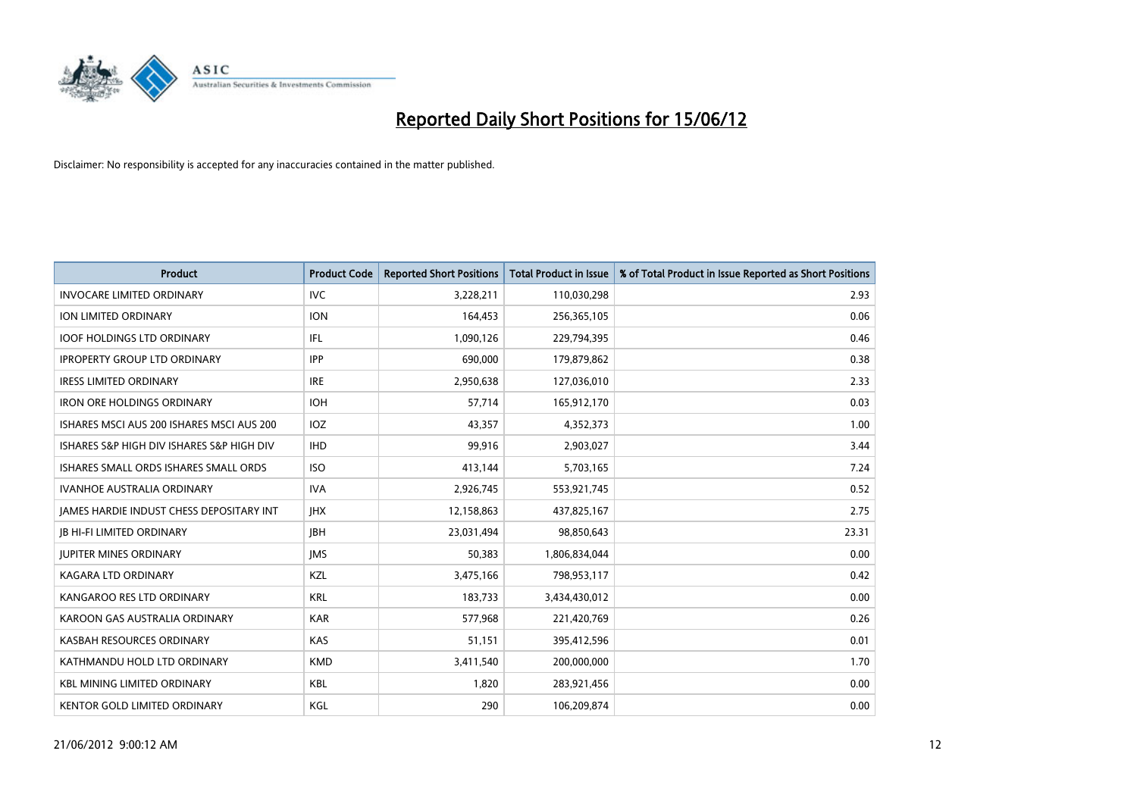

| <b>Product</b>                            | <b>Product Code</b> | <b>Reported Short Positions</b> | <b>Total Product in Issue</b> | % of Total Product in Issue Reported as Short Positions |
|-------------------------------------------|---------------------|---------------------------------|-------------------------------|---------------------------------------------------------|
| <b>INVOCARE LIMITED ORDINARY</b>          | <b>IVC</b>          | 3,228,211                       | 110,030,298                   | 2.93                                                    |
| <b>ION LIMITED ORDINARY</b>               | <b>ION</b>          | 164,453                         | 256,365,105                   | 0.06                                                    |
| <b>IOOF HOLDINGS LTD ORDINARY</b>         | IFL                 | 1,090,126                       | 229,794,395                   | 0.46                                                    |
| <b>IPROPERTY GROUP LTD ORDINARY</b>       | <b>IPP</b>          | 690,000                         | 179,879,862                   | 0.38                                                    |
| <b>IRESS LIMITED ORDINARY</b>             | <b>IRE</b>          | 2,950,638                       | 127,036,010                   | 2.33                                                    |
| <b>IRON ORE HOLDINGS ORDINARY</b>         | <b>IOH</b>          | 57,714                          | 165,912,170                   | 0.03                                                    |
| ISHARES MSCI AUS 200 ISHARES MSCI AUS 200 | <b>IOZ</b>          | 43.357                          | 4,352,373                     | 1.00                                                    |
| ISHARES S&P HIGH DIV ISHARES S&P HIGH DIV | <b>IHD</b>          | 99,916                          | 2,903,027                     | 3.44                                                    |
| ISHARES SMALL ORDS ISHARES SMALL ORDS     | <b>ISO</b>          | 413,144                         | 5,703,165                     | 7.24                                                    |
| <b>IVANHOE AUSTRALIA ORDINARY</b>         | <b>IVA</b>          | 2,926,745                       | 553,921,745                   | 0.52                                                    |
| JAMES HARDIE INDUST CHESS DEPOSITARY INT  | <b>IHX</b>          | 12,158,863                      | 437,825,167                   | 2.75                                                    |
| <b>JB HI-FI LIMITED ORDINARY</b>          | <b>JBH</b>          | 23,031,494                      | 98,850,643                    | 23.31                                                   |
| <b>JUPITER MINES ORDINARY</b>             | <b>IMS</b>          | 50,383                          | 1,806,834,044                 | 0.00                                                    |
| <b>KAGARA LTD ORDINARY</b>                | KZL                 | 3,475,166                       | 798,953,117                   | 0.42                                                    |
| KANGAROO RES LTD ORDINARY                 | <b>KRL</b>          | 183,733                         | 3,434,430,012                 | 0.00                                                    |
| KAROON GAS AUSTRALIA ORDINARY             | <b>KAR</b>          | 577,968                         | 221,420,769                   | 0.26                                                    |
| KASBAH RESOURCES ORDINARY                 | <b>KAS</b>          | 51,151                          | 395,412,596                   | 0.01                                                    |
| KATHMANDU HOLD LTD ORDINARY               | <b>KMD</b>          | 3,411,540                       | 200,000,000                   | 1.70                                                    |
| <b>KBL MINING LIMITED ORDINARY</b>        | <b>KBL</b>          | 1,820                           | 283,921,456                   | 0.00                                                    |
| <b>KENTOR GOLD LIMITED ORDINARY</b>       | KGL                 | 290                             | 106,209,874                   | 0.00                                                    |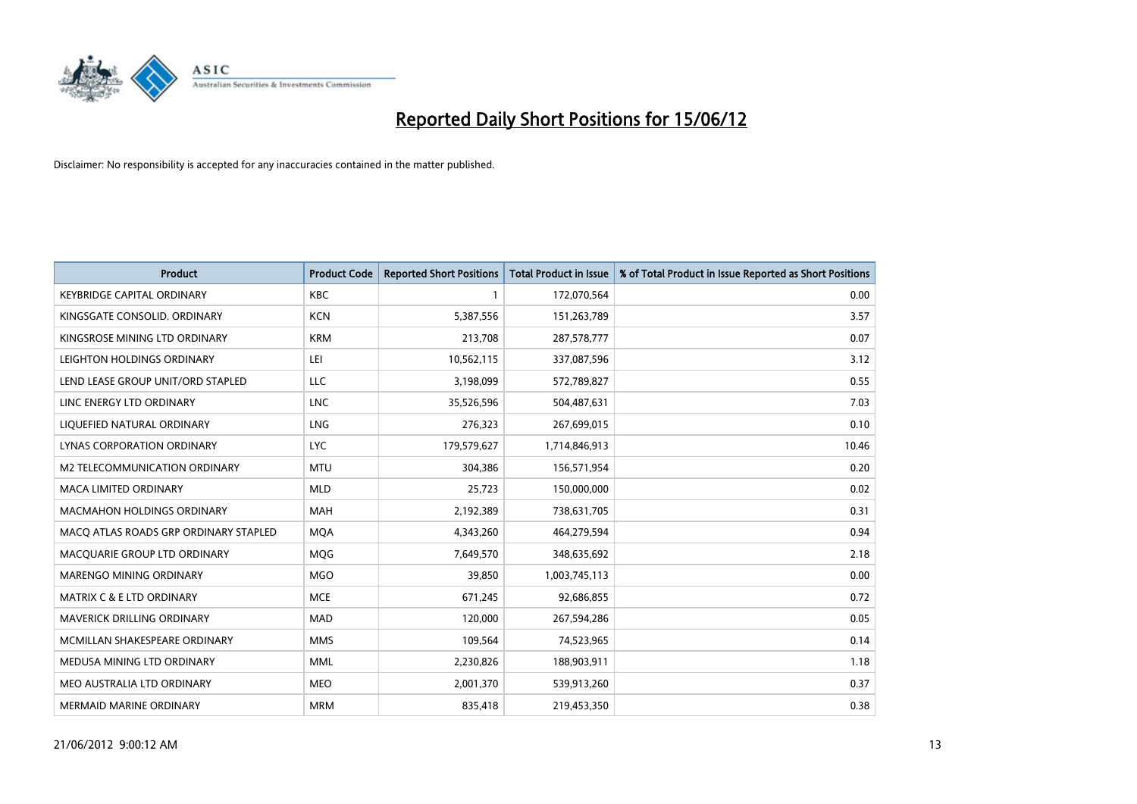

| <b>Product</b>                        | <b>Product Code</b> | <b>Reported Short Positions</b> | <b>Total Product in Issue</b> | % of Total Product in Issue Reported as Short Positions |
|---------------------------------------|---------------------|---------------------------------|-------------------------------|---------------------------------------------------------|
| <b>KEYBRIDGE CAPITAL ORDINARY</b>     | <b>KBC</b>          | 1                               | 172,070,564                   | 0.00                                                    |
| KINGSGATE CONSOLID. ORDINARY          | <b>KCN</b>          | 5,387,556                       | 151,263,789                   | 3.57                                                    |
| KINGSROSE MINING LTD ORDINARY         | <b>KRM</b>          | 213,708                         | 287,578,777                   | 0.07                                                    |
| LEIGHTON HOLDINGS ORDINARY            | LEI                 | 10,562,115                      | 337,087,596                   | 3.12                                                    |
| LEND LEASE GROUP UNIT/ORD STAPLED     | LLC                 | 3,198,099                       | 572,789,827                   | 0.55                                                    |
| LINC ENERGY LTD ORDINARY              | <b>LNC</b>          | 35,526,596                      | 504,487,631                   | 7.03                                                    |
| LIQUEFIED NATURAL ORDINARY            | <b>LNG</b>          | 276,323                         | 267,699,015                   | 0.10                                                    |
| LYNAS CORPORATION ORDINARY            | <b>LYC</b>          | 179,579,627                     | 1,714,846,913                 | 10.46                                                   |
| <b>M2 TELECOMMUNICATION ORDINARY</b>  | <b>MTU</b>          | 304,386                         | 156,571,954                   | 0.20                                                    |
| <b>MACA LIMITED ORDINARY</b>          | <b>MLD</b>          | 25,723                          | 150,000,000                   | 0.02                                                    |
| <b>MACMAHON HOLDINGS ORDINARY</b>     | <b>MAH</b>          | 2,192,389                       | 738,631,705                   | 0.31                                                    |
| MACO ATLAS ROADS GRP ORDINARY STAPLED | <b>MOA</b>          | 4,343,260                       | 464,279,594                   | 0.94                                                    |
| MACQUARIE GROUP LTD ORDINARY          | <b>MQG</b>          | 7,649,570                       | 348,635,692                   | 2.18                                                    |
| MARENGO MINING ORDINARY               | <b>MGO</b>          | 39,850                          | 1,003,745,113                 | 0.00                                                    |
| <b>MATRIX C &amp; E LTD ORDINARY</b>  | <b>MCE</b>          | 671,245                         | 92,686,855                    | 0.72                                                    |
| MAVERICK DRILLING ORDINARY            | <b>MAD</b>          | 120,000                         | 267,594,286                   | 0.05                                                    |
| MCMILLAN SHAKESPEARE ORDINARY         | <b>MMS</b>          | 109,564                         | 74,523,965                    | 0.14                                                    |
| MEDUSA MINING LTD ORDINARY            | <b>MML</b>          | 2,230,826                       | 188,903,911                   | 1.18                                                    |
| MEO AUSTRALIA LTD ORDINARY            | <b>MEO</b>          | 2,001,370                       | 539,913,260                   | 0.37                                                    |
| <b>MERMAID MARINE ORDINARY</b>        | <b>MRM</b>          | 835,418                         | 219,453,350                   | 0.38                                                    |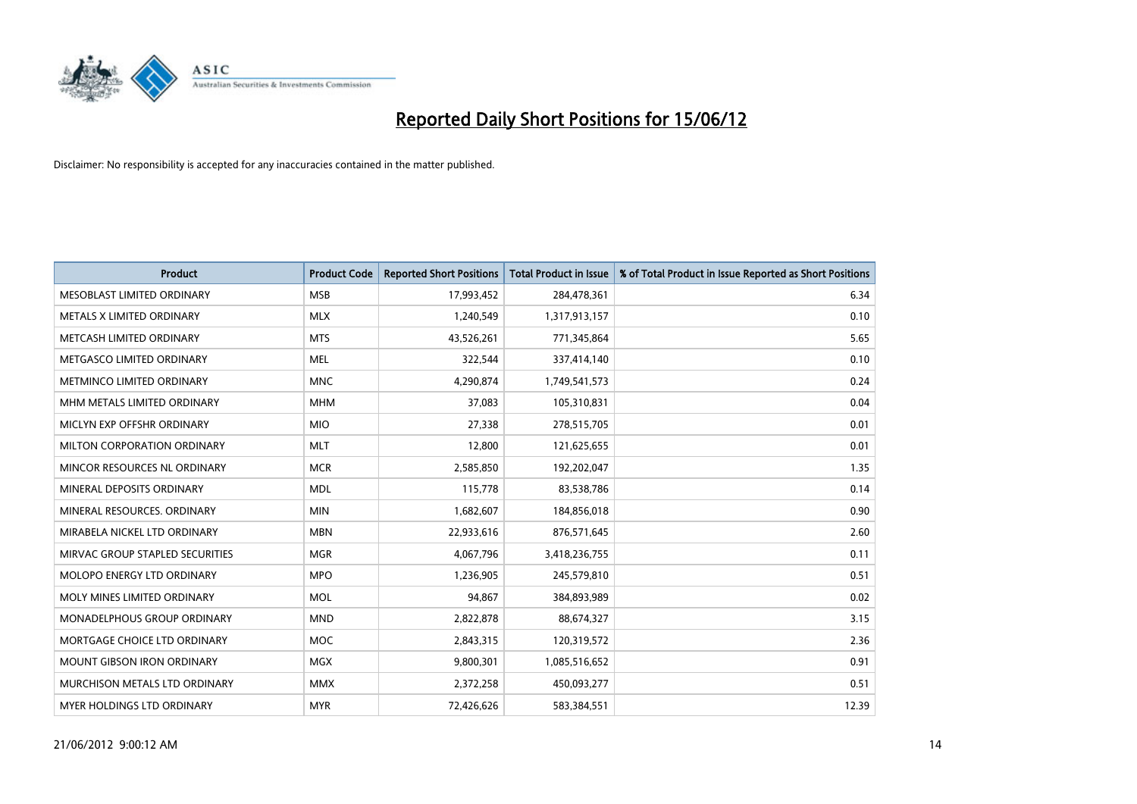

| <b>Product</b>                    | <b>Product Code</b> | <b>Reported Short Positions</b> | <b>Total Product in Issue</b> | % of Total Product in Issue Reported as Short Positions |
|-----------------------------------|---------------------|---------------------------------|-------------------------------|---------------------------------------------------------|
| MESOBLAST LIMITED ORDINARY        | <b>MSB</b>          | 17,993,452                      | 284,478,361                   | 6.34                                                    |
| METALS X LIMITED ORDINARY         | <b>MLX</b>          | 1,240,549                       | 1,317,913,157                 | 0.10                                                    |
| METCASH LIMITED ORDINARY          | <b>MTS</b>          | 43,526,261                      | 771,345,864                   | 5.65                                                    |
| METGASCO LIMITED ORDINARY         | <b>MEL</b>          | 322,544                         | 337,414,140                   | 0.10                                                    |
| METMINCO LIMITED ORDINARY         | <b>MNC</b>          | 4,290,874                       | 1,749,541,573                 | 0.24                                                    |
| MHM METALS LIMITED ORDINARY       | <b>MHM</b>          | 37,083                          | 105,310,831                   | 0.04                                                    |
| MICLYN EXP OFFSHR ORDINARY        | <b>MIO</b>          | 27,338                          | 278,515,705                   | 0.01                                                    |
| MILTON CORPORATION ORDINARY       | <b>MLT</b>          | 12,800                          | 121,625,655                   | 0.01                                                    |
| MINCOR RESOURCES NL ORDINARY      | <b>MCR</b>          | 2,585,850                       | 192,202,047                   | 1.35                                                    |
| MINERAL DEPOSITS ORDINARY         | <b>MDL</b>          | 115,778                         | 83,538,786                    | 0.14                                                    |
| MINERAL RESOURCES. ORDINARY       | <b>MIN</b>          | 1,682,607                       | 184,856,018                   | 0.90                                                    |
| MIRABELA NICKEL LTD ORDINARY      | <b>MBN</b>          | 22,933,616                      | 876,571,645                   | 2.60                                                    |
| MIRVAC GROUP STAPLED SECURITIES   | <b>MGR</b>          | 4,067,796                       | 3,418,236,755                 | 0.11                                                    |
| MOLOPO ENERGY LTD ORDINARY        | <b>MPO</b>          | 1,236,905                       | 245,579,810                   | 0.51                                                    |
| MOLY MINES LIMITED ORDINARY       | <b>MOL</b>          | 94,867                          | 384,893,989                   | 0.02                                                    |
| MONADELPHOUS GROUP ORDINARY       | <b>MND</b>          | 2,822,878                       | 88,674,327                    | 3.15                                                    |
| MORTGAGE CHOICE LTD ORDINARY      | <b>MOC</b>          | 2,843,315                       | 120,319,572                   | 2.36                                                    |
| <b>MOUNT GIBSON IRON ORDINARY</b> | <b>MGX</b>          | 9,800,301                       | 1,085,516,652                 | 0.91                                                    |
| MURCHISON METALS LTD ORDINARY     | <b>MMX</b>          | 2,372,258                       | 450,093,277                   | 0.51                                                    |
| MYER HOLDINGS LTD ORDINARY        | <b>MYR</b>          | 72,426,626                      | 583,384,551                   | 12.39                                                   |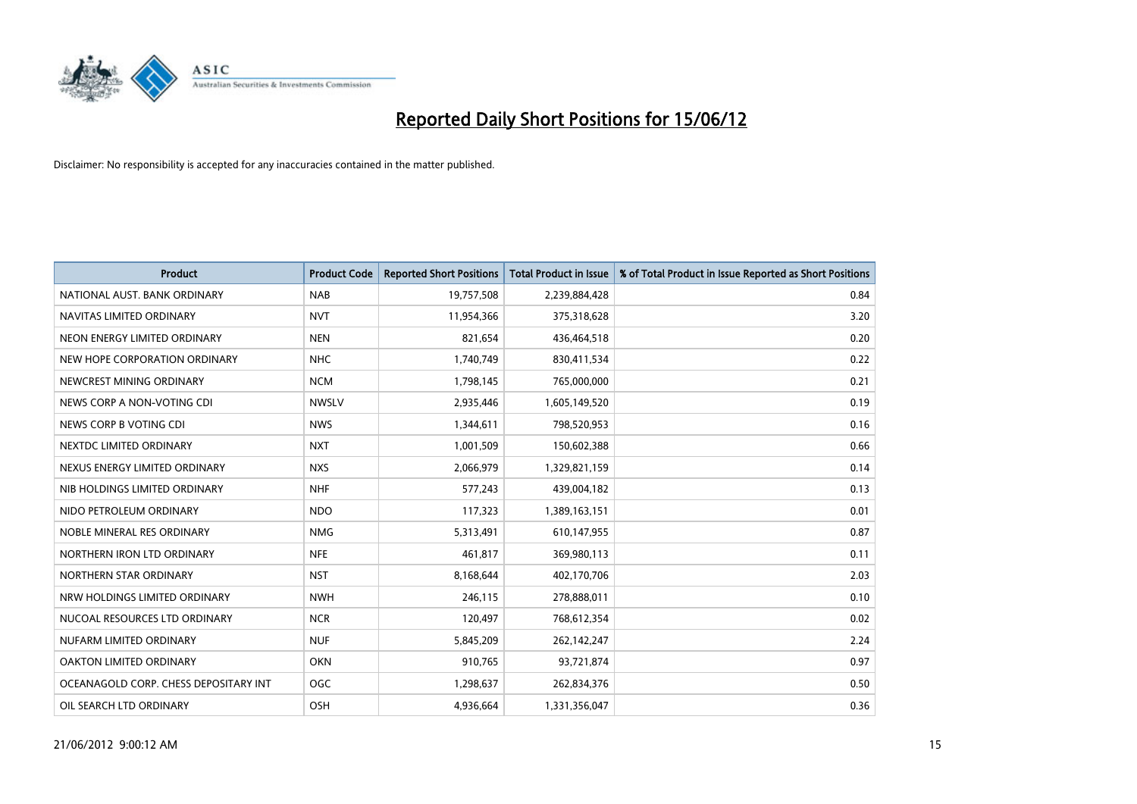

| <b>Product</b>                        | <b>Product Code</b> | <b>Reported Short Positions</b> | <b>Total Product in Issue</b> | % of Total Product in Issue Reported as Short Positions |
|---------------------------------------|---------------------|---------------------------------|-------------------------------|---------------------------------------------------------|
| NATIONAL AUST, BANK ORDINARY          | <b>NAB</b>          | 19,757,508                      | 2,239,884,428                 | 0.84                                                    |
| NAVITAS LIMITED ORDINARY              | <b>NVT</b>          | 11,954,366                      | 375,318,628                   | 3.20                                                    |
| NEON ENERGY LIMITED ORDINARY          | <b>NEN</b>          | 821,654                         | 436,464,518                   | 0.20                                                    |
| NEW HOPE CORPORATION ORDINARY         | NHC                 | 1,740,749                       | 830,411,534                   | 0.22                                                    |
| NEWCREST MINING ORDINARY              | <b>NCM</b>          | 1,798,145                       | 765,000,000                   | 0.21                                                    |
| NEWS CORP A NON-VOTING CDI            | <b>NWSLV</b>        | 2,935,446                       | 1,605,149,520                 | 0.19                                                    |
| NEWS CORP B VOTING CDI                | <b>NWS</b>          | 1,344,611                       | 798,520,953                   | 0.16                                                    |
| NEXTDC LIMITED ORDINARY               | <b>NXT</b>          | 1,001,509                       | 150,602,388                   | 0.66                                                    |
| NEXUS ENERGY LIMITED ORDINARY         | <b>NXS</b>          | 2,066,979                       | 1,329,821,159                 | 0.14                                                    |
| NIB HOLDINGS LIMITED ORDINARY         | <b>NHF</b>          | 577,243                         | 439,004,182                   | 0.13                                                    |
| NIDO PETROLEUM ORDINARY               | <b>NDO</b>          | 117,323                         | 1,389,163,151                 | 0.01                                                    |
| NOBLE MINERAL RES ORDINARY            | <b>NMG</b>          | 5,313,491                       | 610,147,955                   | 0.87                                                    |
| NORTHERN IRON LTD ORDINARY            | <b>NFE</b>          | 461,817                         | 369,980,113                   | 0.11                                                    |
| NORTHERN STAR ORDINARY                | <b>NST</b>          | 8,168,644                       | 402,170,706                   | 2.03                                                    |
| NRW HOLDINGS LIMITED ORDINARY         | <b>NWH</b>          | 246,115                         | 278,888,011                   | 0.10                                                    |
| NUCOAL RESOURCES LTD ORDINARY         | <b>NCR</b>          | 120,497                         | 768,612,354                   | 0.02                                                    |
| NUFARM LIMITED ORDINARY               | <b>NUF</b>          | 5,845,209                       | 262,142,247                   | 2.24                                                    |
| OAKTON LIMITED ORDINARY               | <b>OKN</b>          | 910,765                         | 93,721,874                    | 0.97                                                    |
| OCEANAGOLD CORP. CHESS DEPOSITARY INT | <b>OGC</b>          | 1,298,637                       | 262,834,376                   | 0.50                                                    |
| OIL SEARCH LTD ORDINARY               | OSH                 | 4,936,664                       | 1,331,356,047                 | 0.36                                                    |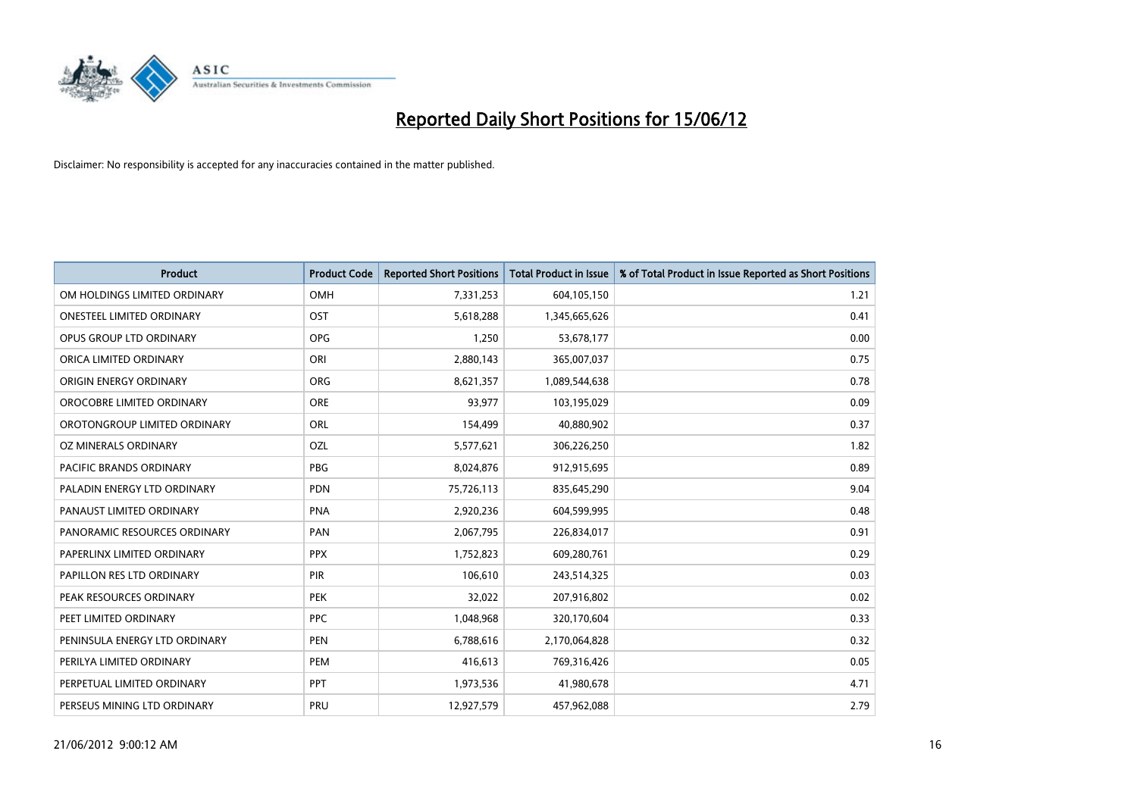

| <b>Product</b>                 | <b>Product Code</b> | <b>Reported Short Positions</b> | <b>Total Product in Issue</b> | % of Total Product in Issue Reported as Short Positions |
|--------------------------------|---------------------|---------------------------------|-------------------------------|---------------------------------------------------------|
| OM HOLDINGS LIMITED ORDINARY   | <b>OMH</b>          | 7,331,253                       | 604,105,150                   | 1.21                                                    |
| ONESTEEL LIMITED ORDINARY      | OST                 | 5,618,288                       | 1,345,665,626                 | 0.41                                                    |
| OPUS GROUP LTD ORDINARY        | <b>OPG</b>          | 1,250                           | 53,678,177                    | 0.00                                                    |
| ORICA LIMITED ORDINARY         | ORI                 | 2,880,143                       | 365,007,037                   | 0.75                                                    |
| ORIGIN ENERGY ORDINARY         | <b>ORG</b>          | 8,621,357                       | 1,089,544,638                 | 0.78                                                    |
| OROCOBRE LIMITED ORDINARY      | ORE                 | 93,977                          | 103,195,029                   | 0.09                                                    |
| OROTONGROUP LIMITED ORDINARY   | ORL                 | 154,499                         | 40,880,902                    | 0.37                                                    |
| OZ MINERALS ORDINARY           | OZL                 | 5,577,621                       | 306,226,250                   | 1.82                                                    |
| <b>PACIFIC BRANDS ORDINARY</b> | <b>PBG</b>          | 8,024,876                       | 912,915,695                   | 0.89                                                    |
| PALADIN ENERGY LTD ORDINARY    | <b>PDN</b>          | 75,726,113                      | 835,645,290                   | 9.04                                                    |
| PANAUST LIMITED ORDINARY       | <b>PNA</b>          | 2,920,236                       | 604,599,995                   | 0.48                                                    |
| PANORAMIC RESOURCES ORDINARY   | PAN                 | 2,067,795                       | 226,834,017                   | 0.91                                                    |
| PAPERLINX LIMITED ORDINARY     | <b>PPX</b>          | 1,752,823                       | 609,280,761                   | 0.29                                                    |
| PAPILLON RES LTD ORDINARY      | PIR                 | 106,610                         | 243,514,325                   | 0.03                                                    |
| PEAK RESOURCES ORDINARY        | <b>PEK</b>          | 32,022                          | 207,916,802                   | 0.02                                                    |
| PEET LIMITED ORDINARY          | <b>PPC</b>          | 1,048,968                       | 320,170,604                   | 0.33                                                    |
| PENINSULA ENERGY LTD ORDINARY  | <b>PEN</b>          | 6,788,616                       | 2,170,064,828                 | 0.32                                                    |
| PERILYA LIMITED ORDINARY       | <b>PEM</b>          | 416,613                         | 769,316,426                   | 0.05                                                    |
| PERPETUAL LIMITED ORDINARY     | <b>PPT</b>          | 1,973,536                       | 41,980,678                    | 4.71                                                    |
| PERSEUS MINING LTD ORDINARY    | <b>PRU</b>          | 12,927,579                      | 457,962,088                   | 2.79                                                    |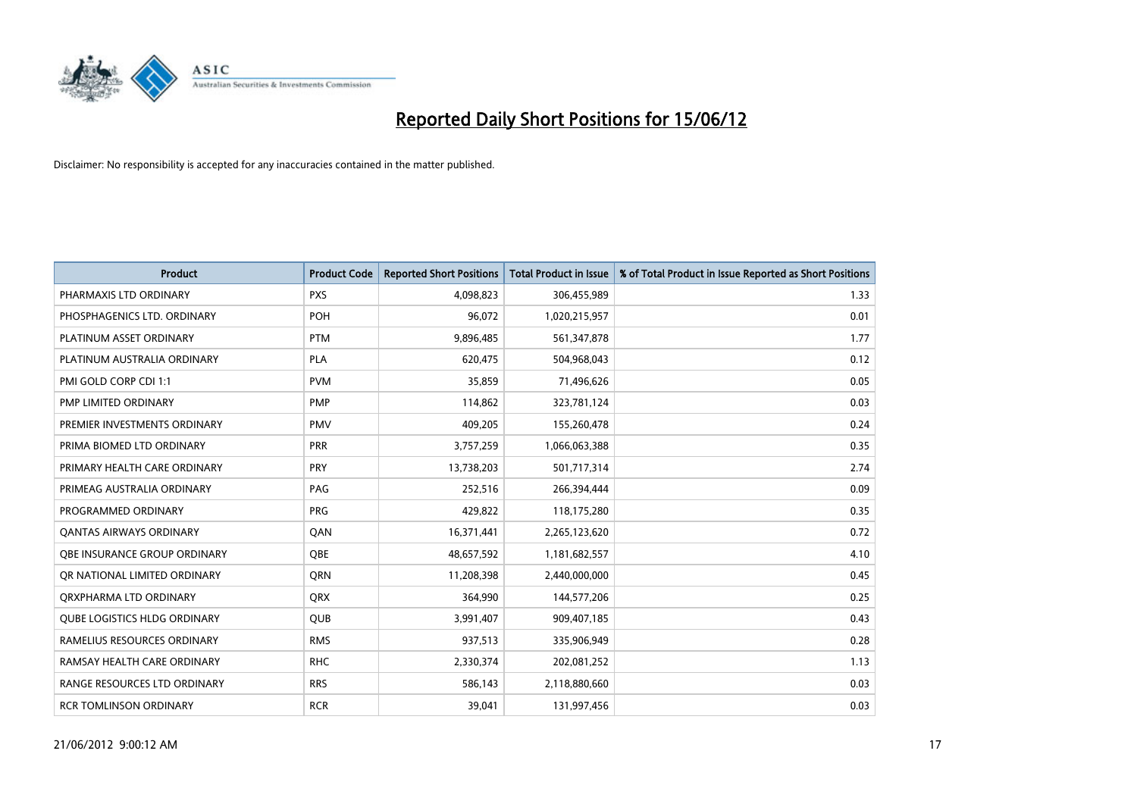

| <b>Product</b>                      | <b>Product Code</b> | <b>Reported Short Positions</b> | <b>Total Product in Issue</b> | % of Total Product in Issue Reported as Short Positions |
|-------------------------------------|---------------------|---------------------------------|-------------------------------|---------------------------------------------------------|
| PHARMAXIS LTD ORDINARY              | <b>PXS</b>          | 4,098,823                       | 306,455,989                   | 1.33                                                    |
| PHOSPHAGENICS LTD. ORDINARY         | <b>POH</b>          | 96,072                          | 1,020,215,957                 | 0.01                                                    |
| PLATINUM ASSET ORDINARY             | <b>PTM</b>          | 9,896,485                       | 561,347,878                   | 1.77                                                    |
| PLATINUM AUSTRALIA ORDINARY         | <b>PLA</b>          | 620,475                         | 504,968,043                   | 0.12                                                    |
| PMI GOLD CORP CDI 1:1               | <b>PVM</b>          | 35,859                          | 71,496,626                    | 0.05                                                    |
| PMP LIMITED ORDINARY                | PMP                 | 114,862                         | 323,781,124                   | 0.03                                                    |
| PREMIER INVESTMENTS ORDINARY        | <b>PMV</b>          | 409,205                         | 155,260,478                   | 0.24                                                    |
| PRIMA BIOMED LTD ORDINARY           | <b>PRR</b>          | 3,757,259                       | 1,066,063,388                 | 0.35                                                    |
| PRIMARY HEALTH CARE ORDINARY        | <b>PRY</b>          | 13,738,203                      | 501,717,314                   | 2.74                                                    |
| PRIMEAG AUSTRALIA ORDINARY          | PAG                 | 252,516                         | 266,394,444                   | 0.09                                                    |
| PROGRAMMED ORDINARY                 | <b>PRG</b>          | 429,822                         | 118,175,280                   | 0.35                                                    |
| <b>QANTAS AIRWAYS ORDINARY</b>      | QAN                 | 16,371,441                      | 2,265,123,620                 | 0.72                                                    |
| OBE INSURANCE GROUP ORDINARY        | <b>OBE</b>          | 48,657,592                      | 1,181,682,557                 | 4.10                                                    |
| OR NATIONAL LIMITED ORDINARY        | <b>ORN</b>          | 11,208,398                      | 2,440,000,000                 | 0.45                                                    |
| ORXPHARMA LTD ORDINARY              | <b>QRX</b>          | 364,990                         | 144,577,206                   | 0.25                                                    |
| <b>QUBE LOGISTICS HLDG ORDINARY</b> | QUB                 | 3,991,407                       | 909,407,185                   | 0.43                                                    |
| RAMELIUS RESOURCES ORDINARY         | <b>RMS</b>          | 937,513                         | 335,906,949                   | 0.28                                                    |
| RAMSAY HEALTH CARE ORDINARY         | <b>RHC</b>          | 2,330,374                       | 202,081,252                   | 1.13                                                    |
| RANGE RESOURCES LTD ORDINARY        | <b>RRS</b>          | 586,143                         | 2,118,880,660                 | 0.03                                                    |
| <b>RCR TOMLINSON ORDINARY</b>       | <b>RCR</b>          | 39,041                          | 131,997,456                   | 0.03                                                    |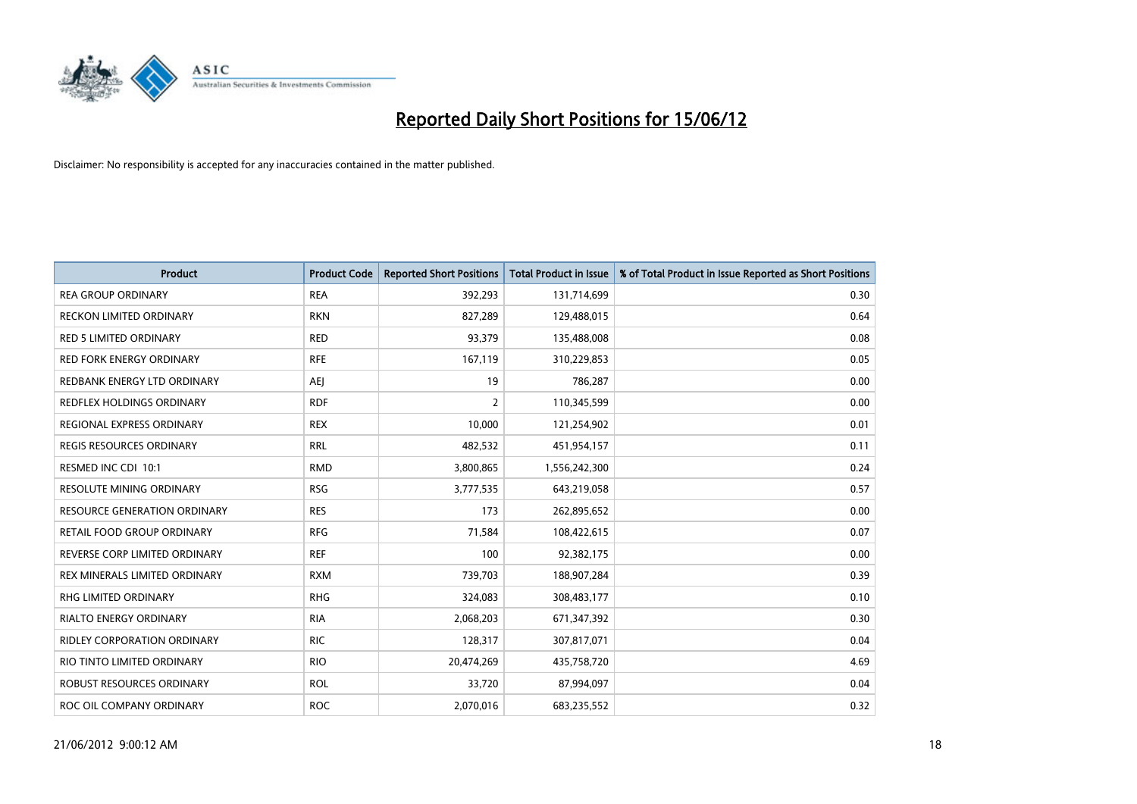

| <b>Product</b>                   | <b>Product Code</b> | <b>Reported Short Positions</b> | <b>Total Product in Issue</b> | % of Total Product in Issue Reported as Short Positions |
|----------------------------------|---------------------|---------------------------------|-------------------------------|---------------------------------------------------------|
| <b>REA GROUP ORDINARY</b>        | <b>REA</b>          | 392,293                         | 131,714,699                   | 0.30                                                    |
| RECKON LIMITED ORDINARY          | <b>RKN</b>          | 827,289                         | 129,488,015                   | 0.64                                                    |
| RED 5 LIMITED ORDINARY           | <b>RED</b>          | 93,379                          | 135,488,008                   | 0.08                                                    |
| <b>RED FORK ENERGY ORDINARY</b>  | <b>RFE</b>          | 167,119                         | 310,229,853                   | 0.05                                                    |
| REDBANK ENERGY LTD ORDINARY      | <b>AEJ</b>          | 19                              | 786,287                       | 0.00                                                    |
| <b>REDFLEX HOLDINGS ORDINARY</b> | <b>RDF</b>          | 2                               | 110,345,599                   | 0.00                                                    |
| REGIONAL EXPRESS ORDINARY        | <b>REX</b>          | 10,000                          | 121,254,902                   | 0.01                                                    |
| <b>REGIS RESOURCES ORDINARY</b>  | <b>RRL</b>          | 482,532                         | 451,954,157                   | 0.11                                                    |
| RESMED INC CDI 10:1              | <b>RMD</b>          | 3,800,865                       | 1,556,242,300                 | 0.24                                                    |
| <b>RESOLUTE MINING ORDINARY</b>  | <b>RSG</b>          | 3,777,535                       | 643,219,058                   | 0.57                                                    |
| RESOURCE GENERATION ORDINARY     | <b>RES</b>          | 173                             | 262,895,652                   | 0.00                                                    |
| RETAIL FOOD GROUP ORDINARY       | <b>RFG</b>          | 71,584                          | 108,422,615                   | 0.07                                                    |
| REVERSE CORP LIMITED ORDINARY    | <b>REF</b>          | 100                             | 92,382,175                    | 0.00                                                    |
| REX MINERALS LIMITED ORDINARY    | <b>RXM</b>          | 739,703                         | 188,907,284                   | 0.39                                                    |
| <b>RHG LIMITED ORDINARY</b>      | <b>RHG</b>          | 324,083                         | 308,483,177                   | 0.10                                                    |
| RIALTO ENERGY ORDINARY           | <b>RIA</b>          | 2,068,203                       | 671,347,392                   | 0.30                                                    |
| RIDLEY CORPORATION ORDINARY      | <b>RIC</b>          | 128,317                         | 307,817,071                   | 0.04                                                    |
| RIO TINTO LIMITED ORDINARY       | <b>RIO</b>          | 20,474,269                      | 435,758,720                   | 4.69                                                    |
| <b>ROBUST RESOURCES ORDINARY</b> | <b>ROL</b>          | 33,720                          | 87,994,097                    | 0.04                                                    |
| ROC OIL COMPANY ORDINARY         | <b>ROC</b>          | 2,070,016                       | 683,235,552                   | 0.32                                                    |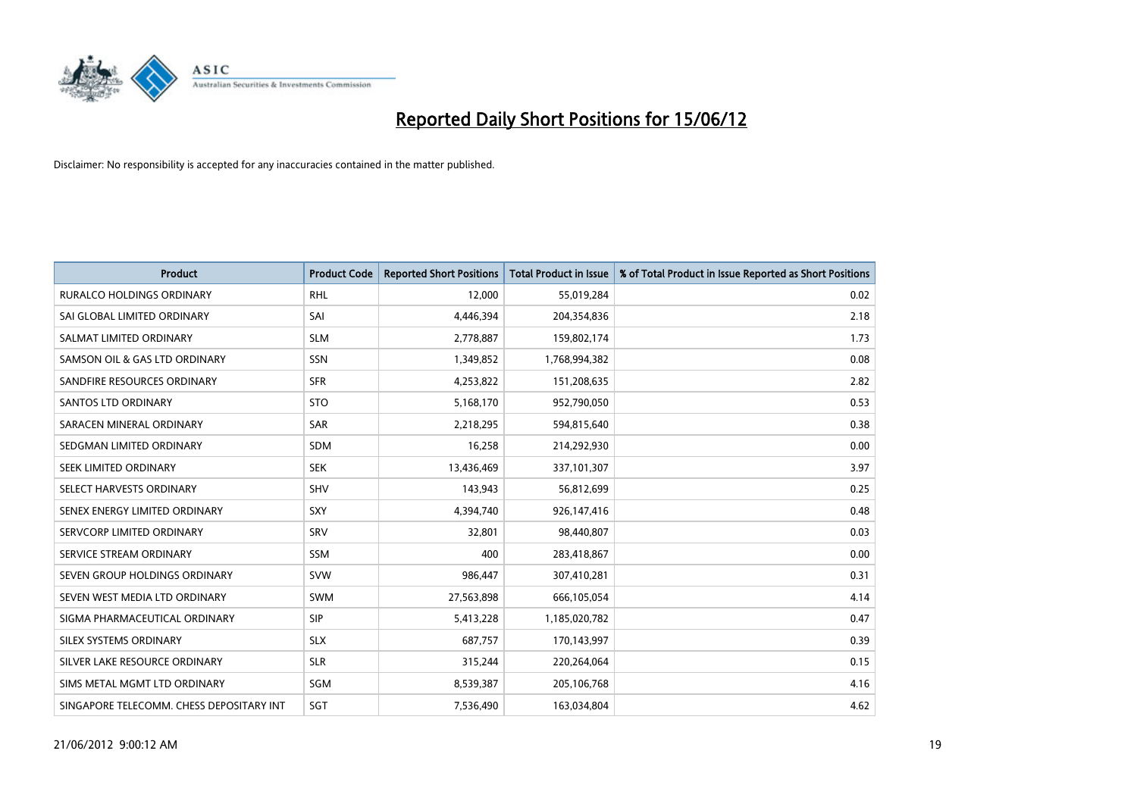

| <b>Product</b>                           | <b>Product Code</b> | <b>Reported Short Positions</b> | <b>Total Product in Issue</b> | % of Total Product in Issue Reported as Short Positions |
|------------------------------------------|---------------------|---------------------------------|-------------------------------|---------------------------------------------------------|
| <b>RURALCO HOLDINGS ORDINARY</b>         | <b>RHL</b>          | 12,000                          | 55,019,284                    | 0.02                                                    |
| SAI GLOBAL LIMITED ORDINARY              | SAI                 | 4,446,394                       | 204,354,836                   | 2.18                                                    |
| SALMAT LIMITED ORDINARY                  | <b>SLM</b>          | 2,778,887                       | 159,802,174                   | 1.73                                                    |
| SAMSON OIL & GAS LTD ORDINARY            | SSN                 | 1,349,852                       | 1,768,994,382                 | 0.08                                                    |
| SANDFIRE RESOURCES ORDINARY              | <b>SFR</b>          | 4,253,822                       | 151,208,635                   | 2.82                                                    |
| <b>SANTOS LTD ORDINARY</b>               | <b>STO</b>          | 5,168,170                       | 952,790,050                   | 0.53                                                    |
| SARACEN MINERAL ORDINARY                 | <b>SAR</b>          | 2,218,295                       | 594,815,640                   | 0.38                                                    |
| SEDGMAN LIMITED ORDINARY                 | <b>SDM</b>          | 16,258                          | 214,292,930                   | 0.00                                                    |
| SEEK LIMITED ORDINARY                    | <b>SEK</b>          | 13,436,469                      | 337,101,307                   | 3.97                                                    |
| SELECT HARVESTS ORDINARY                 | <b>SHV</b>          | 143,943                         | 56,812,699                    | 0.25                                                    |
| SENEX ENERGY LIMITED ORDINARY            | <b>SXY</b>          | 4,394,740                       | 926,147,416                   | 0.48                                                    |
| SERVCORP LIMITED ORDINARY                | SRV                 | 32,801                          | 98,440,807                    | 0.03                                                    |
| SERVICE STREAM ORDINARY                  | SSM                 | 400                             | 283,418,867                   | 0.00                                                    |
| SEVEN GROUP HOLDINGS ORDINARY            | <b>SVW</b>          | 986,447                         | 307,410,281                   | 0.31                                                    |
| SEVEN WEST MEDIA LTD ORDINARY            | SWM                 | 27,563,898                      | 666,105,054                   | 4.14                                                    |
| SIGMA PHARMACEUTICAL ORDINARY            | <b>SIP</b>          | 5,413,228                       | 1,185,020,782                 | 0.47                                                    |
| SILEX SYSTEMS ORDINARY                   | <b>SLX</b>          | 687,757                         | 170,143,997                   | 0.39                                                    |
| SILVER LAKE RESOURCE ORDINARY            | <b>SLR</b>          | 315,244                         | 220,264,064                   | 0.15                                                    |
| SIMS METAL MGMT LTD ORDINARY             | <b>SGM</b>          | 8,539,387                       | 205,106,768                   | 4.16                                                    |
| SINGAPORE TELECOMM. CHESS DEPOSITARY INT | SGT                 | 7,536,490                       | 163,034,804                   | 4.62                                                    |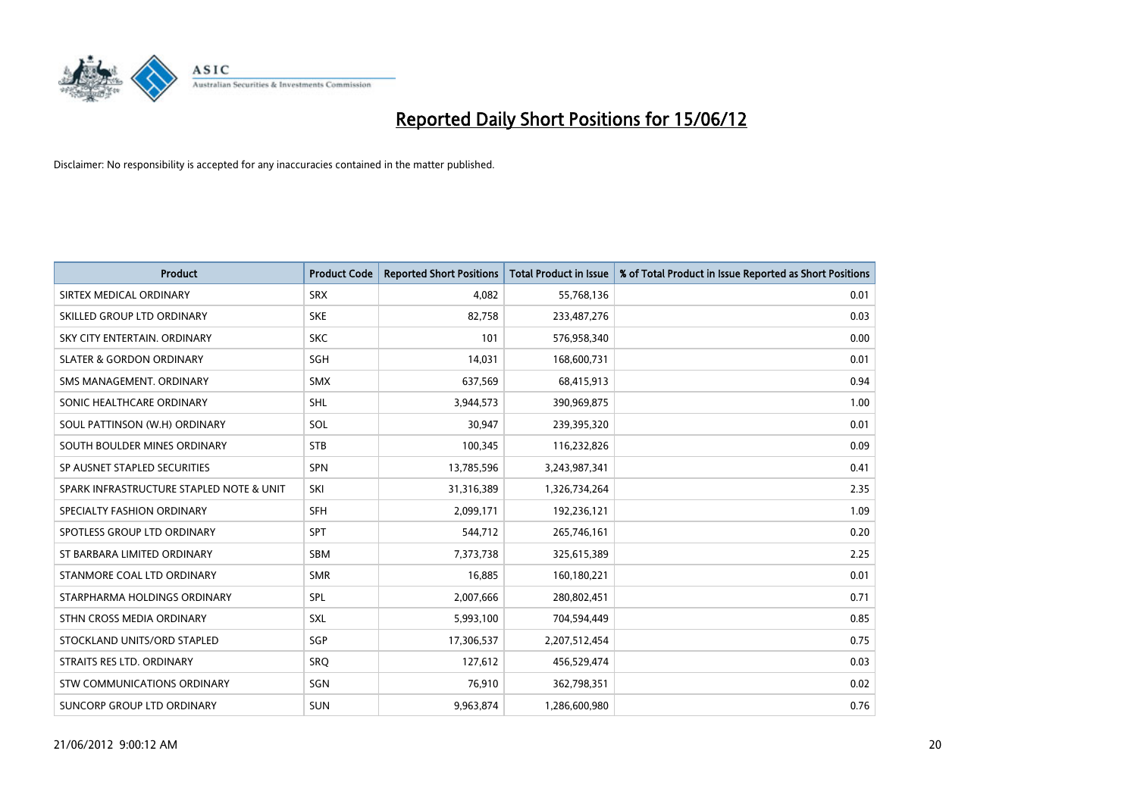

| <b>Product</b>                           | <b>Product Code</b> | <b>Reported Short Positions</b> | <b>Total Product in Issue</b> | % of Total Product in Issue Reported as Short Positions |
|------------------------------------------|---------------------|---------------------------------|-------------------------------|---------------------------------------------------------|
| SIRTEX MEDICAL ORDINARY                  | <b>SRX</b>          | 4,082                           | 55,768,136                    | 0.01                                                    |
| SKILLED GROUP LTD ORDINARY               | <b>SKE</b>          | 82,758                          | 233,487,276                   | 0.03                                                    |
| SKY CITY ENTERTAIN, ORDINARY             | <b>SKC</b>          | 101                             | 576,958,340                   | 0.00                                                    |
| <b>SLATER &amp; GORDON ORDINARY</b>      | SGH                 | 14,031                          | 168,600,731                   | 0.01                                                    |
| SMS MANAGEMENT, ORDINARY                 | SMX                 | 637,569                         | 68,415,913                    | 0.94                                                    |
| SONIC HEALTHCARE ORDINARY                | <b>SHL</b>          | 3,944,573                       | 390,969,875                   | 1.00                                                    |
| SOUL PATTINSON (W.H) ORDINARY            | SOL                 | 30,947                          | 239,395,320                   | 0.01                                                    |
| SOUTH BOULDER MINES ORDINARY             | <b>STB</b>          | 100,345                         | 116,232,826                   | 0.09                                                    |
| SP AUSNET STAPLED SECURITIES             | SPN                 | 13,785,596                      | 3,243,987,341                 | 0.41                                                    |
| SPARK INFRASTRUCTURE STAPLED NOTE & UNIT | SKI                 | 31,316,389                      | 1,326,734,264                 | 2.35                                                    |
| SPECIALTY FASHION ORDINARY               | <b>SFH</b>          | 2,099,171                       | 192,236,121                   | 1.09                                                    |
| SPOTLESS GROUP LTD ORDINARY              | <b>SPT</b>          | 544,712                         | 265,746,161                   | 0.20                                                    |
| ST BARBARA LIMITED ORDINARY              | <b>SBM</b>          | 7,373,738                       | 325,615,389                   | 2.25                                                    |
| STANMORE COAL LTD ORDINARY               | <b>SMR</b>          | 16,885                          | 160,180,221                   | 0.01                                                    |
| STARPHARMA HOLDINGS ORDINARY             | <b>SPL</b>          | 2,007,666                       | 280,802,451                   | 0.71                                                    |
| STHN CROSS MEDIA ORDINARY                | <b>SXL</b>          | 5,993,100                       | 704,594,449                   | 0.85                                                    |
| STOCKLAND UNITS/ORD STAPLED              | SGP                 | 17,306,537                      | 2,207,512,454                 | 0.75                                                    |
| STRAITS RES LTD. ORDINARY                | <b>SRO</b>          | 127,612                         | 456,529,474                   | 0.03                                                    |
| STW COMMUNICATIONS ORDINARY              | SGN                 | 76,910                          | 362,798,351                   | 0.02                                                    |
| SUNCORP GROUP LTD ORDINARY               | <b>SUN</b>          | 9,963,874                       | 1,286,600,980                 | 0.76                                                    |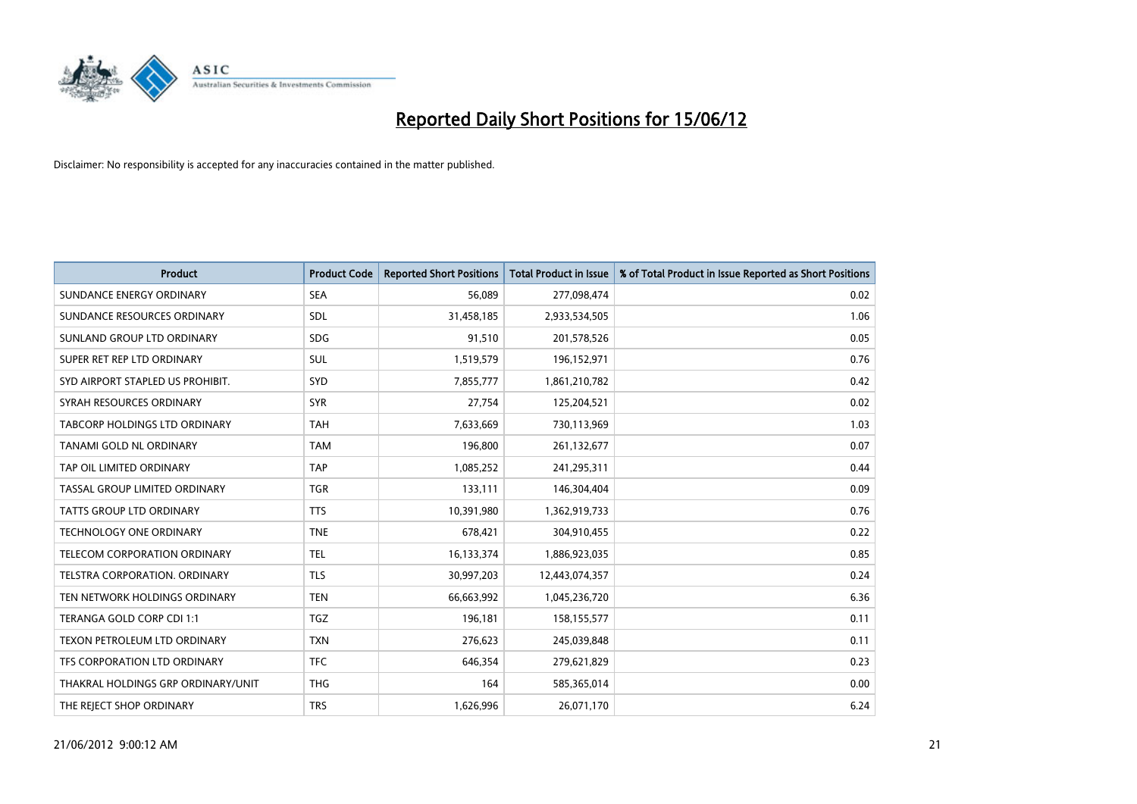

| <b>Product</b>                       | <b>Product Code</b> | <b>Reported Short Positions</b> | <b>Total Product in Issue</b> | % of Total Product in Issue Reported as Short Positions |
|--------------------------------------|---------------------|---------------------------------|-------------------------------|---------------------------------------------------------|
| SUNDANCE ENERGY ORDINARY             | <b>SEA</b>          | 56,089                          | 277,098,474                   | 0.02                                                    |
| SUNDANCE RESOURCES ORDINARY          | <b>SDL</b>          | 31,458,185                      | 2,933,534,505                 | 1.06                                                    |
| SUNLAND GROUP LTD ORDINARY           | <b>SDG</b>          | 91,510                          | 201,578,526                   | 0.05                                                    |
| SUPER RET REP LTD ORDINARY           | SUL                 | 1,519,579                       | 196,152,971                   | 0.76                                                    |
| SYD AIRPORT STAPLED US PROHIBIT.     | <b>SYD</b>          | 7,855,777                       | 1,861,210,782                 | 0.42                                                    |
| SYRAH RESOURCES ORDINARY             | <b>SYR</b>          | 27,754                          | 125,204,521                   | 0.02                                                    |
| <b>TABCORP HOLDINGS LTD ORDINARY</b> | TAH                 | 7,633,669                       | 730,113,969                   | 1.03                                                    |
| TANAMI GOLD NL ORDINARY              | <b>TAM</b>          | 196,800                         | 261,132,677                   | 0.07                                                    |
| TAP OIL LIMITED ORDINARY             | <b>TAP</b>          | 1,085,252                       | 241,295,311                   | 0.44                                                    |
| TASSAL GROUP LIMITED ORDINARY        | <b>TGR</b>          | 133,111                         | 146,304,404                   | 0.09                                                    |
| TATTS GROUP LTD ORDINARY             | <b>TTS</b>          | 10,391,980                      | 1,362,919,733                 | 0.76                                                    |
| <b>TECHNOLOGY ONE ORDINARY</b>       | <b>TNE</b>          | 678,421                         | 304,910,455                   | 0.22                                                    |
| TELECOM CORPORATION ORDINARY         | <b>TEL</b>          | 16,133,374                      | 1,886,923,035                 | 0.85                                                    |
| TELSTRA CORPORATION, ORDINARY        | <b>TLS</b>          | 30,997,203                      | 12,443,074,357                | 0.24                                                    |
| TEN NETWORK HOLDINGS ORDINARY        | <b>TEN</b>          | 66,663,992                      | 1,045,236,720                 | 6.36                                                    |
| TERANGA GOLD CORP CDI 1:1            | TGZ                 | 196,181                         | 158,155,577                   | 0.11                                                    |
| TEXON PETROLEUM LTD ORDINARY         | <b>TXN</b>          | 276,623                         | 245,039,848                   | 0.11                                                    |
| TFS CORPORATION LTD ORDINARY         | <b>TFC</b>          | 646,354                         | 279,621,829                   | 0.23                                                    |
| THAKRAL HOLDINGS GRP ORDINARY/UNIT   | <b>THG</b>          | 164                             | 585,365,014                   | 0.00                                                    |
| THE REJECT SHOP ORDINARY             | <b>TRS</b>          | 1,626,996                       | 26,071,170                    | 6.24                                                    |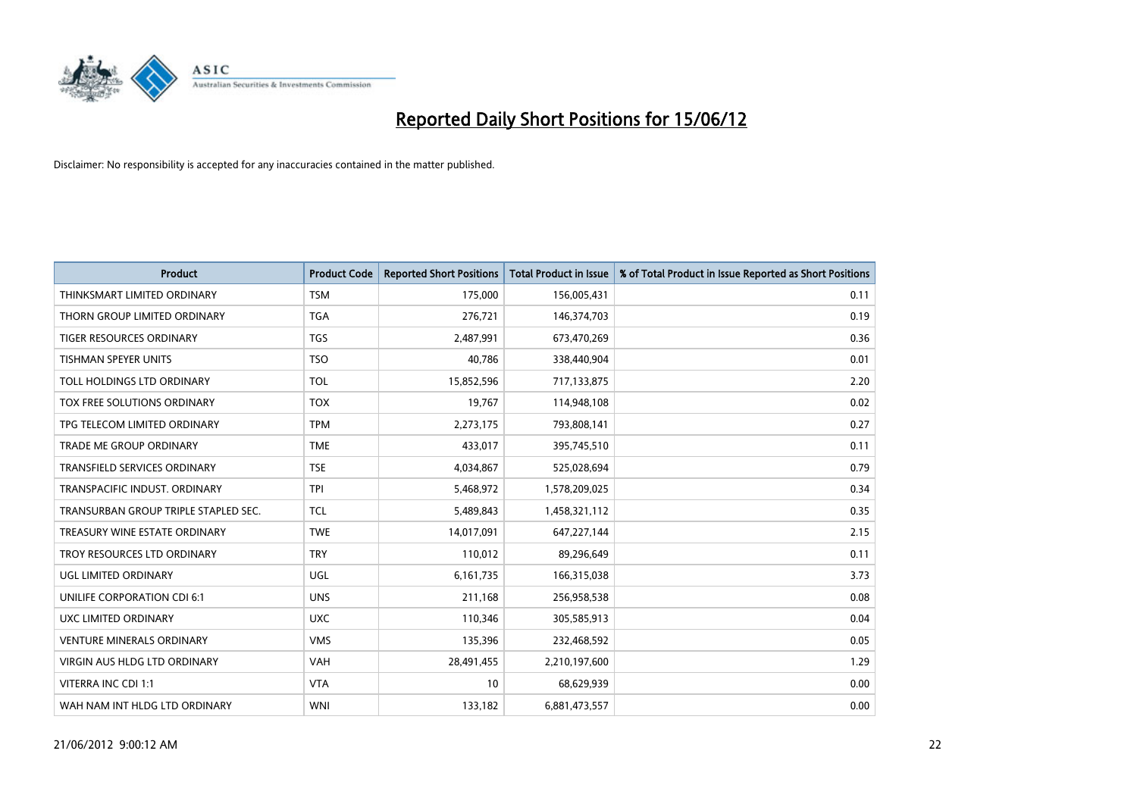

| <b>Product</b>                       | <b>Product Code</b> | <b>Reported Short Positions</b> | <b>Total Product in Issue</b> | % of Total Product in Issue Reported as Short Positions |
|--------------------------------------|---------------------|---------------------------------|-------------------------------|---------------------------------------------------------|
| THINKSMART LIMITED ORDINARY          | <b>TSM</b>          | 175,000                         | 156,005,431                   | 0.11                                                    |
| THORN GROUP LIMITED ORDINARY         | TGA                 | 276,721                         | 146,374,703                   | 0.19                                                    |
| <b>TIGER RESOURCES ORDINARY</b>      | <b>TGS</b>          | 2,487,991                       | 673,470,269                   | 0.36                                                    |
| TISHMAN SPEYER UNITS                 | <b>TSO</b>          | 40,786                          | 338,440,904                   | 0.01                                                    |
| TOLL HOLDINGS LTD ORDINARY           | <b>TOL</b>          | 15,852,596                      | 717,133,875                   | 2.20                                                    |
| TOX FREE SOLUTIONS ORDINARY          | <b>TOX</b>          | 19,767                          | 114,948,108                   | 0.02                                                    |
| TPG TELECOM LIMITED ORDINARY         | <b>TPM</b>          | 2,273,175                       | 793,808,141                   | 0.27                                                    |
| TRADE ME GROUP ORDINARY              | <b>TME</b>          | 433,017                         | 395,745,510                   | 0.11                                                    |
| <b>TRANSFIELD SERVICES ORDINARY</b>  | <b>TSE</b>          | 4,034,867                       | 525,028,694                   | 0.79                                                    |
| TRANSPACIFIC INDUST, ORDINARY        | <b>TPI</b>          | 5,468,972                       | 1,578,209,025                 | 0.34                                                    |
| TRANSURBAN GROUP TRIPLE STAPLED SEC. | <b>TCL</b>          | 5,489,843                       | 1,458,321,112                 | 0.35                                                    |
| TREASURY WINE ESTATE ORDINARY        | <b>TWE</b>          | 14,017,091                      | 647,227,144                   | 2.15                                                    |
| TROY RESOURCES LTD ORDINARY          | <b>TRY</b>          | 110,012                         | 89,296,649                    | 0.11                                                    |
| UGL LIMITED ORDINARY                 | UGL                 | 6,161,735                       | 166,315,038                   | 3.73                                                    |
| UNILIFE CORPORATION CDI 6:1          | <b>UNS</b>          | 211,168                         | 256,958,538                   | 0.08                                                    |
| UXC LIMITED ORDINARY                 | <b>UXC</b>          | 110,346                         | 305,585,913                   | 0.04                                                    |
| <b>VENTURE MINERALS ORDINARY</b>     | <b>VMS</b>          | 135,396                         | 232,468,592                   | 0.05                                                    |
| <b>VIRGIN AUS HLDG LTD ORDINARY</b>  | <b>VAH</b>          | 28,491,455                      | 2,210,197,600                 | 1.29                                                    |
| VITERRA INC CDI 1:1                  | <b>VTA</b>          | 10                              | 68,629,939                    | 0.00                                                    |
| WAH NAM INT HLDG LTD ORDINARY        | <b>WNI</b>          | 133,182                         | 6,881,473,557                 | 0.00                                                    |